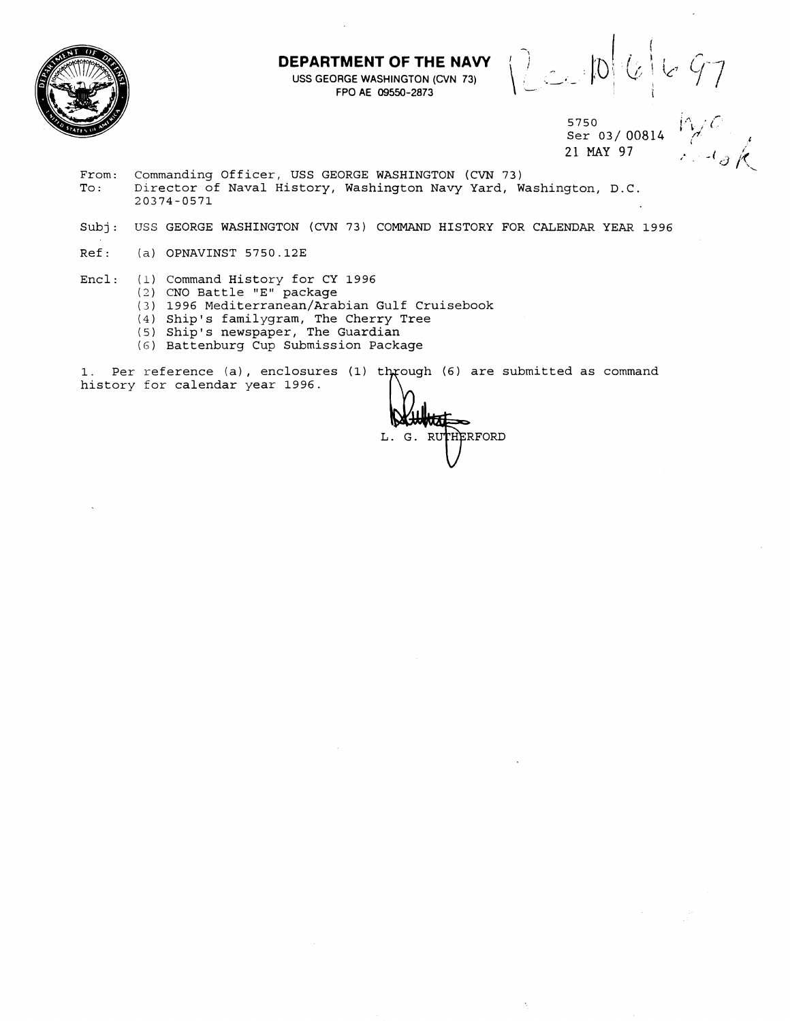**DEPARTMENT OF THE NAVY** 



- **1 EPARTMENT OF THE NAVY**  $\left\{\bigcup_{\substack{a \in A \\ b \text{ is a 1}} \text{ is a 2}} |b| \begin{bmatrix} a & b \\ c & d \end{bmatrix} \begin{bmatrix} c & c \\ c & d \end{bmatrix} \begin{bmatrix} c & c \\ d & d \end{bmatrix} \begin{bmatrix} c & d \\ d & d \end{bmatrix}$ 

5750<br>Ser 03/00814  $\bigvee_{\text{per}} C$ .<br>21 MAY 97 Ser 03/00814 21 **MAY 97** 

From: Commanding Officer, USS GEORGE WASHINGTON (CVN 73)<br>To: Director of Naval History, Washington Navy Yard, W Director of Naval History, Washington Navy Yard, Washington, D.C. 20374-0571

- Subj: USS GEORGE WASHINGTON (CVN 73) COMMAND HISTORY FOR CALENDAR YEAR 1996
- Ref: **(a)** OPNAVINST 5750.123

Encl: (1) Command History for CY 1996

- (2) CNO Battle "E" package
- (3) 1996 Mediterranean/Arabian Gulf Cruisebook
- (4) Ship's familygram, The Cherry Tree
- (5) Ship's newspaper, The Guardian
- (6) Battenburg Cup Submission Package

1. Per reference (a), enclosures (1) through (6) are submitted as command history for calendar year 1996.

THERFORD L. G. RUT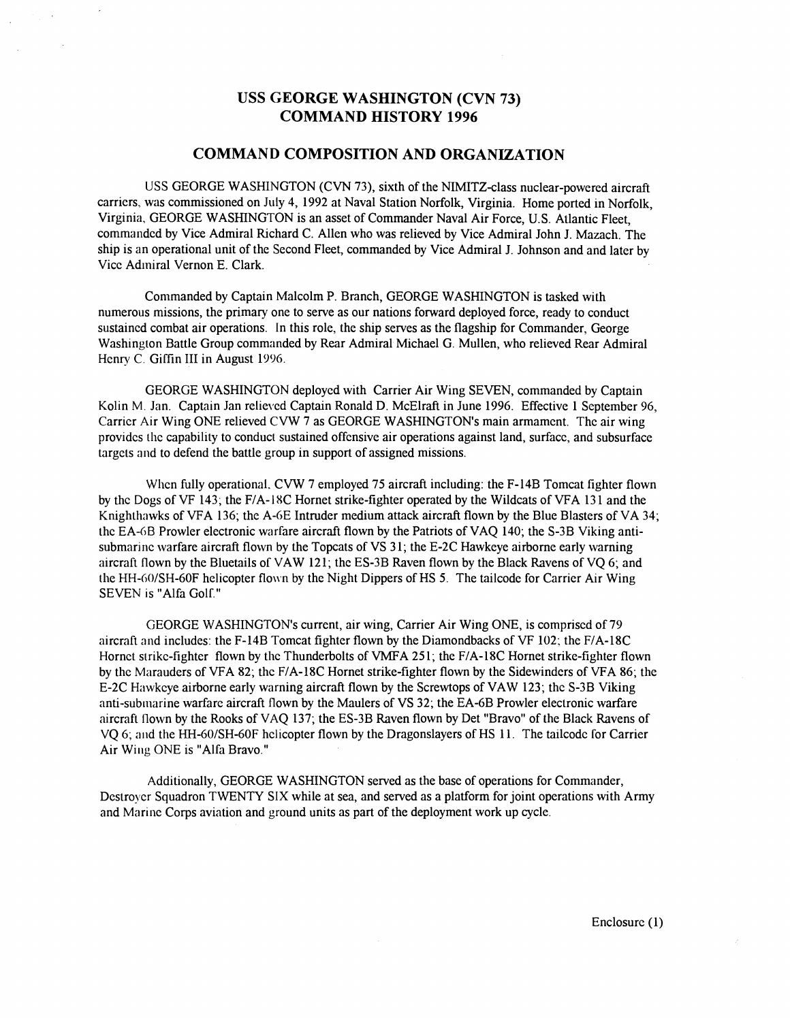## **USS GEORGE WASHINGTON (CVN 73) COMMAND HISTORY 1996**

## **COMMAND COMPOSITION AND ORGANIZATION**

USS GEORGE WASHINGTON (CVN 73), sixth of the NIMITZ-class nuclear-powered aircraft carricrs, was commissioned on July 4, 1992 at Naval Station Norfolk, Virginia. Home ported in Norfolk, Virginia, GEORGE WASHINGTON is an asset of Commander Naval Air Force, U.S. Atlantic Fleet, comrnandcd by Vice Admiral Richard C. Allen who was relieved by Vice Admiral John J. Mazach. The ship is an operational unit of the Second Fleet, commanded by Vice Admiral J. Johnson and and later by Vicc Admiral Vernon E. Clark.

Commanded by Captain Malcolm P. Branch, GEORGE WASHINGTON is tasked with numerous missions, the primary one to serve as our nations forward deployed force, ready to conduct sustained combat air operations. In this role, the ship serves as the flagship for Commander, George Washington Battle Group commanded by Rear Admiral Michael G. Mullen, who relieved Rear Admiral Henry C. Giffin III in August 1996.

GEORGE WASHINGTON deploycd with Carrier Air Wing SEVEN, commanded by Captain Kolin M. Jan. Captain Jan relieved Captain Ronald D. McElraft in June 1996. Effective 1 September 96, Carricr Air Wing ONE relieved CVW 7 as GEORGE WASHINGTON'S main armamcnt. Thc air wing providcs thc capability to conduct sustained offensive air operations against land, surfacc, and subsurface Largcts and to defend the battle group in support of assigned missions.

When fully operational. CVW 7 employed 75 aircraft including: the F-14B Tomcat fighter flown by thc Dogs of VF 143; the FIA- 18C Hornet strike-fighter operated by the Wildcats of VFA 13 1 and the Knighthawks of VFA 136; thc A-GE Intruder medium attack aircraft flown by the Blue Blasters of VA 34; thc EA-GB Prowler electronic warfare aircraft flown by the Patriots of VAQ 140; the S-3B Viking antisubmarine warfare aircraft flown by the Topcats of VS 31; the E-2C Hawkeye airborne early warning aircraft flown by thc Bluetails of VAW 121; thc ES-3B Raven flown by the Black Ravens of VQ 6; and the HH-60/SH-60F helicopter flown by the Night Dippers of HS 5. The tailcode for Carrier Air Wing SEVEN 1s "Alfa Golf."

GEORGE WASHINGTON's current, air wing, Carrier Air Wing ONE, is comprised of 79 aircraft and includes: the F-14B Tomcat fighter flown by the Diamondbacks of VF 102; the F/A-18C Hornct strike-fighter flown by the Thunderbolts of VMFA 251; the F/A-18C Hornet strike-fighter flown by thc Marauders of VFA 82; thc FIA-18C Hornet strike-fighter flown by the Sidewinders of VFA 86; the E-2C Hawkcye airborne early warning aircraft flown by the Screwtops of VAW 123; thc S-3B Viking anti-sublnarine warfare aircraft flown by the Maulers of VS 32; the EA-6B Prowler electronic warfare aircraft flown by the Rooks of VAQ 137; the ES-3B Raven flown by Det "Bravo" of the Black Ravens of VO 6; and the HH-60/SH-60F helicopter flown by the Dragonslayers of HS 11. The tailcode for Carrier Air Wing ONE is "Alfa Bravo."

Additionally, GEORGE WASHINGTON served as the base of operations for Commander, Dcstroycr Squadron TWENTY SIX while at sea, and served as a platform for joint operations with Army and Marinc Corps aviation and ground units as part of the deployment work up cycle.

Enclosurc (1)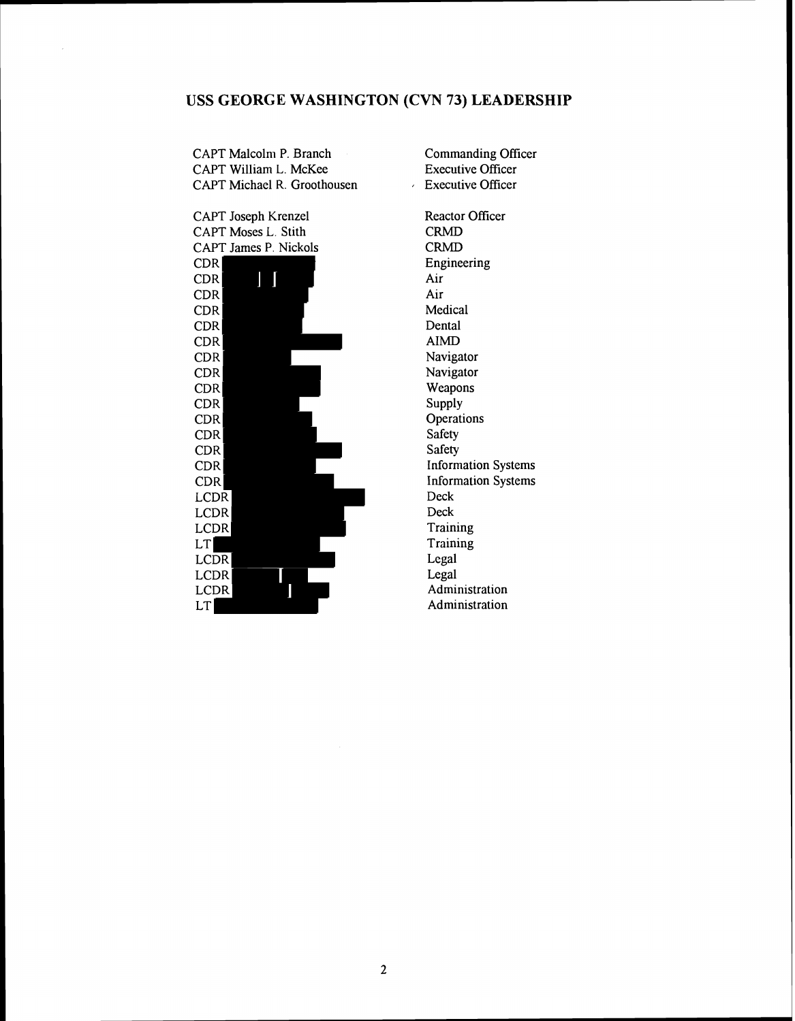## **USS GEORGE WASHINGTON (CVN 73) LEADERSHIP**

CAPT Malcolm P. Branch CAPT William L. McKee CAPT Michael R. Groothousen



Executive Officer Reactor Officer CRMD CRMD Engineering Air Air Medical Dental AIMD Navigator Navigator Weapons Supply **Operations** Safety Safety Information Systems Information Systems Deck Deck **Training** Training Legal Legal Administration Administration

Commanding Oficer Executive Officer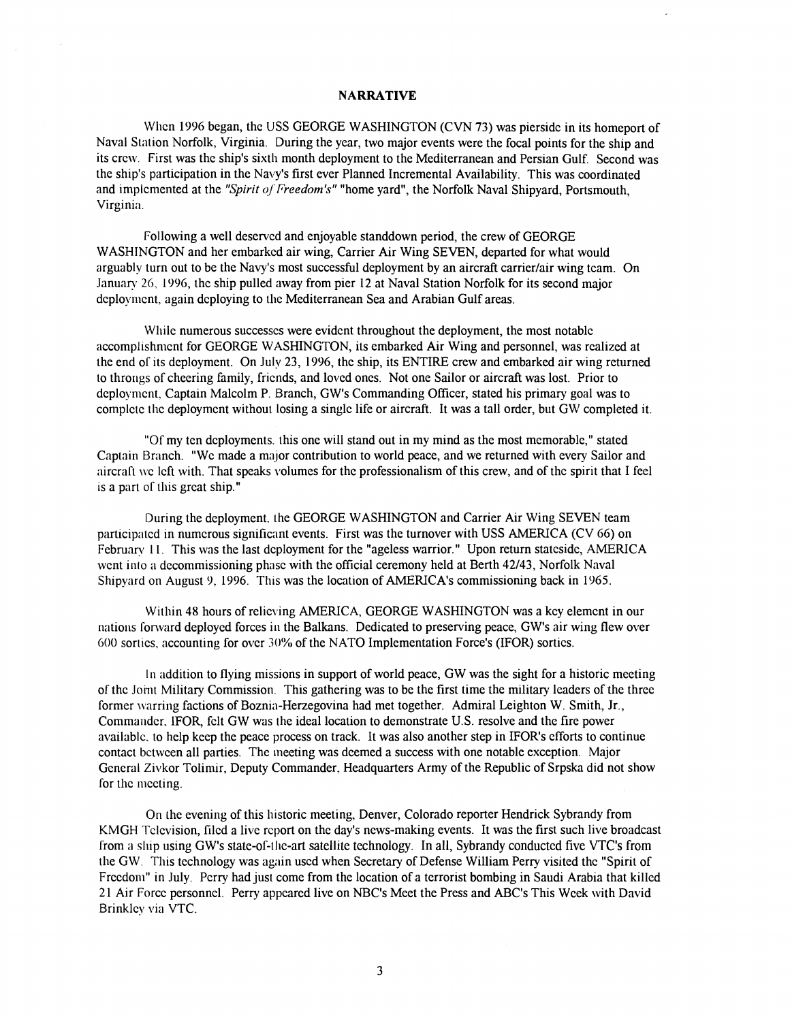### **NARRATIVE**

When 1996 began, the USS GEORGE WASHINGTON (CVN 73) was piersidc in its homeport of Naval Station Norfolk, Virginia. During the year, two major events were the focal points for the ship and its crew. First was the ship's sixth month deployment to the Mediterranean and Persian Gulf. Second was the ship's participation in the Navy's first ever Planned Incremental Availability. This was coordinated and implemented at the "Spirit of Freedom's" "home yard", the Norfolk Naval Shipyard, Portsmouth, Virginia.

Following a well deserved and enjoyable standdown period, the crew of GEORGE WASHINGTON and her embarked air wing, Carrier Air Wing SEVEN, departed for what would arguably turn out to be the Navy's most successful deployment by an aircraft carrierlair wing team. On January 26, 1996, the ship pulled away from pier 12 at Naval Station Norfolk for its second major deployment, again deploying to the Mediterranean Sea and Arabian Gulf areas.

While numerous successes were evident throughout the deployment, the most notable accomplishment for GEORGE WASHINGTON, its embarked Air Wing and personnel, was realized at the end of its deployment. On July 23, 1996, the ship, its ENTIRE crew and embarked air wing returned to throngs of cheering family, friends, and loved ones. Not one Sailor or aircraft was lost. Prior to deployment, Captain Malcolm P. Branch, GW's Commanding Officer, stated his primary goal was to complctc the deployment without losing a single life or aircraft. It was a tall order, but GW completed it.

"Of my ten deployments. this one will stand out in my mind as the most memorable," stated Captain Branch. "We made a maior contribution to world peace, and we returned with every Sailor and aircraft we left with. That speaks volumes for the professionalism of this crew, and of the spirit that I feel is a part of this great ship."

During the deployment, the GEORGE WASHINGTON and Carrier Air Wing SEVEN team participatcd in numerous significant events. First was the turnover with USS AMERICA (CV 66) on February 11. This was the last deployment for the "ageless warrior." Upon return stateside, AMERICA went into a decommissioning phase with the official ceremony held at Berth 42/43, Norfolk Naval Shipyard on August 9, 1996. This was the location of AMERICA's commissioning back in 1965.

Within 48 hours of relicving AMERICA, GEORGE WASHINGTON was a key element in our nations forward deployed forces in the Balkans. Dedicated to preserving peace, GW's air wing flew over 600 sorties, accounting for over 30% of the NATO Implementation Force's (IFOR) sorties.

In addition to flying missions in support of world peace, GW was the sight for a historic meeting of the Joint Military Commission. This gathering was to be the first time the military leaders of the three former warring factions of Boznia-Herzegovina had met together. Admiral Leighton W. Smith, Jr., Commarlder. IFOR, felt GW was the ideal location to demonstrate U.S. resolve and the fire power available, to help keep the peace process on track. It was also another step in IFOR's efforts to continue contact bctwcen all parties. The meeting was deemed a success with one notable exception. Major General Zivkor Tolimir, Deputy Commander. Headquarters Army of the Republic of Srpska did not show for the mccting.

On the evening of this historic meeting, Denver, Colorado reporter Hendrick Sybrandy from KMGH Tclcvision, filed a live report on the day's news-making events. It was the first such live broadcast from a ship using GW's state-of-tllc-art satellite technology. In all, Sybrandy conductcd five VTC's from the GW. This technology was again used when Secretary of Defense William Perry visited the "Spirit of Freedom" in July. Perry had just come from the location of a terrorist bombing in Saudi Arabia that killed 2 1 Air Force personnel. Perry appeared live on NBC1s Meel the Press and ABC's This Week with David Brinklcy via VTC.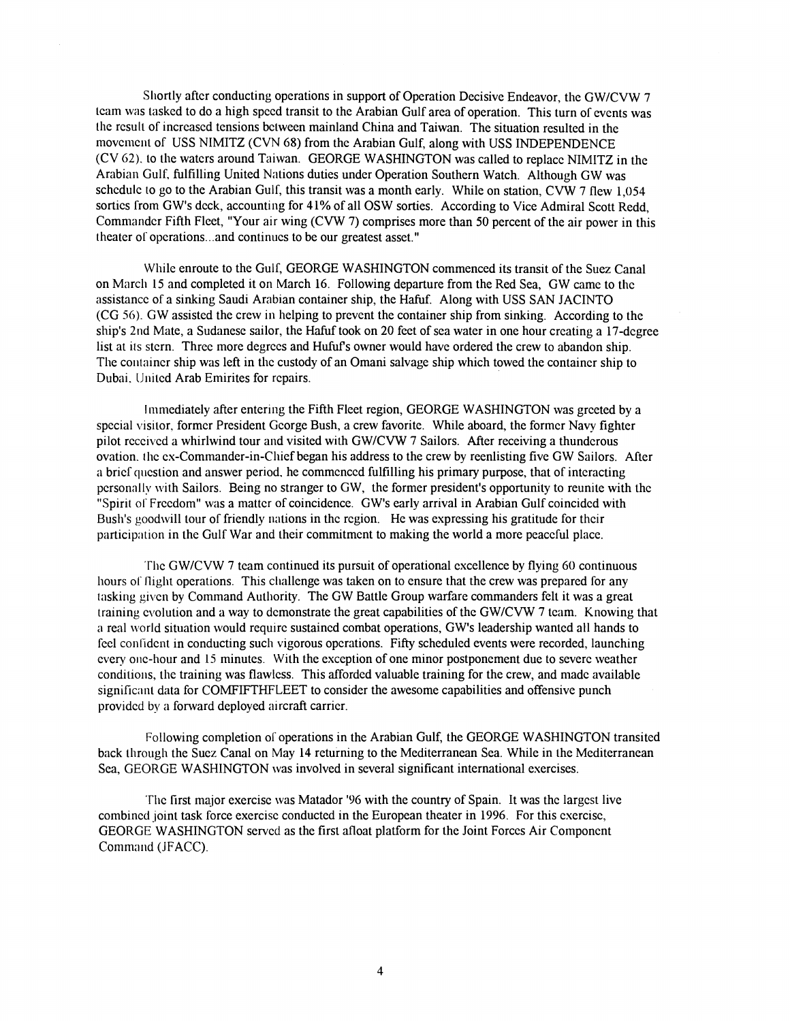Shortly after conducting operations in support of Operation Decisive Endeavor, the GW/CVW 7 team was tasked to do a high speed transit to the Arabian Gulf area of operation. This turn of events was [he rcsull of incrcascd tensions bclween mainland China and Taiwan. The situation resulted in the movement of USS NIMITZ (CVN 68) from the Arabian Gulf, along with USS INDEPENDENCE (CV 62). to the watcrs around Taiwan. GEORGE WASHINGTON was called to replacc NIMITZ in the Arabian Gulf, fulfilling United Nations duties under Operation Southern Watch. Although GW was schcdulc to go to the Arabian Gulf, this transit was a month early. While on station, CVW 7 flew **1,054**  sortics from GW's dcck, accounting for **41%** of all OSW sorties. According to Vice Admiral Scott Redd, Commander Fifth Fleet, "Your air wing (CVW 7) comprises more than 50 percent of the air power in this theater of operations... and continues to be our greatest asset."

While enroute to the Gulf, GEORGE WASHINGTON commenced its transit of the Suez Canal on March **15** and completed it on March **16.** Following departure from the Red Sea, GW camc to thc assistance of a sinking Saudi Arabian container ship, the Hafuf. Along with USS SAN JACINTO (CG 56). GW assisted the crew in helping to prevent the container ship from sinking. According to the ship's 2nd Mate, a Sudanese sailor, the Hafuf took on 20 feet of sea water in one hour crcating a 17-dcgree list at its stern. Three more degrees and Hufuf's owner would have ordered the crew to abandon ship. The container ship was left in the custody of an Omani salvage ship which towed the container ship to Dubai, United Arab Emirites for repairs.

Immediately after entering the Fifth Fleet region, GEORGE WASHINGTON was grceted by a spccial visitor. formcr President Gcorge Bush, a crew favorite. While aboard, the formcr Navy fighter pilot received a whirlwind tour and visited with GW/CVW 7 Sailors. After receiving a thunderous ovation. thc cx-Commander-in-Chief began his address to the crew by reenlisting five GW Sailors. After a bricf question and answer period, he commenced fulfilling his primary purpose, that of interacting personally with Sailors. Being no stranger to GW, the former president's opportunity to reunite with the "Spirit of Frccdom" was a mattcr of coincidence. GW's early arrival in Arabian Gulf coincidcd with Bush's goodwill tour of friendly nations in thc rcgion. He was expressing his gratitude for thcir participation in the Gulf War and their commitment to making the world a more peaceful place.

'Thc GWICVW 7 tcam continued its pursuit of operational cxcellence by flying 60 continuous hours of flight operations. This challenge was taken on to ensure that the crew was prepared for any tasking given by Command Authority. The GW Battle Group warfare commanders felt it was a great training evolution and a way to demonstrate the great capabilities of the GW/CVW 7 team. Knowing that a real world situation would require sustained combat operations, GW's leadership wanted all hands to feel confident in conducting such vigorous operations. Fifty scheduled events were recorded, launching every one-hour and 15 minutes. With the exception of one minor postponement due to severe weather conditions, the training was flawless. This afforded valuable training for the crew, and made available significant data for COMFIFTHFLEET to consider the awesome capabilities and offensive punch provided by a forward deployed aircraft carrier.

Following completion of operations in the Arabian Gulf, the GEORGE WASHINGTON transitcd back through the Sucz Canal on May **14** returning to the Mediterranean Sea. While in the Mediterranean Sea, GEORGE WASHINGTON was involved in several significant international exercises.

The first major exercise was Matador '96 with the country of Spain. It was the largest live combincd joint task force exercisc conducted in the European theater in **1996.** For this cxercisc, GEORGE WASHINGTON servcd as the first afloat platform for the Joint Forccs Air Componcnt Command (JFACC).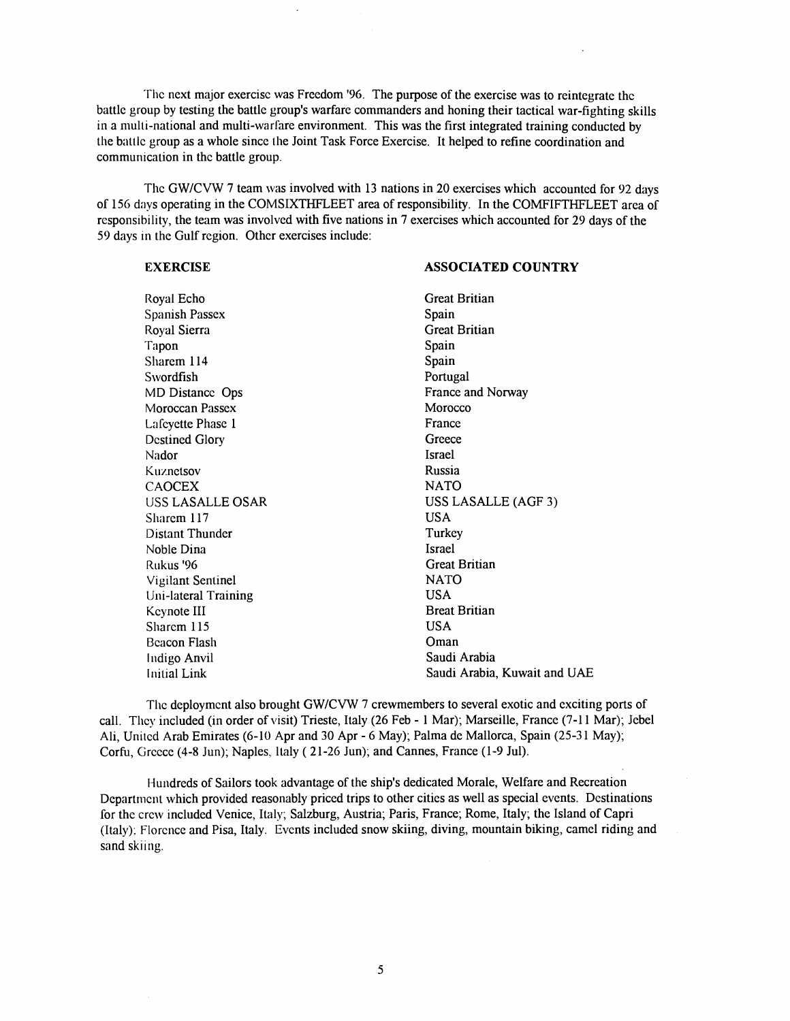Thc next major exercisc was Freedom '96. The purpose of the exercise was to reintegrate thc battlc group by testing the battle group's warfare commanders and honing their tactical war-fighting skills in a multi-national and multi-warfare environment. This was the first integrated training conducted by the battlc group as a whole sincc the Joint Task Force Exercise. It helped to refine coordination and communication in thc battle group.

The GW/CVW 7 team was involved with 13 nations in 20 exercises which accounted for 92 days 01 156 days operating in the COMSIXTHFLEET area of responsibility. In the COMFIFTHFLEET area 01 responsibility, the team was involved with five nations in **7** exercises which accounted for 29 days of the 59 days in the Gulf region. Other exercises include:

#### **EXERCISE ASSOCIATED COUNTRY** Royal Echo Spanish Passex Royal Sierra Tapon Sharem 114 Swordfish MD Distance Ops Moroccan Passex Lafeyette Phase 1 Destined Glory Nador Kuznelsov CAOCEX USS LASALLE OSAR Sharem 117 Distant Thunder Noble Dina Rukus '96 Vigilant Sentinel Uni-lateral Training Kcynote I11 Sharem 115 Bcacon Flash Indigo Anvil Initial Lirk Great Britian Spain Great Britian Spain Spain Portugal France and Norway Morocco France **Greece** Israel Russia NATO USS LASALLE (AGF 3) USA Turkey Israel Great Britian NATO USA Breat Britian USA Oman Saudi Arabia Saudi Arabia, Kuwait and **UAE**

The deployment also brought GW/CVW 7 crewmembers to several exotic and exciting ports of call. They included (in order of visit) Trieste, Italy (26 Feb - 1 Mar); Marseille, France (7-11 Mar); Jebel Ali, Unitcd Arab Emirates (6-10 Apr and 30 Apr - G May); Palma de Mallorca, Spain (25-3 1 May); Corfu, Circcce (4-8 Jun); Naples, Italy ( 21-26 Jun); and Cannes, France (1-9 Jul).

Hundreds of Sailors took advantage of the ship's dedicated Morale, Welfare and Recreation Dcpartrncnt which provided reasonably priced trips to other cities as well as special events. Destinations for the crew included Venice, Italy; Salzburg, Austria; Paris, France; Rome, Italy; the Island of Capri (Italy): Florcnce and Pisa, Italy. Events included snow skiing, diving, mountain biking, camel riding and sand skiing.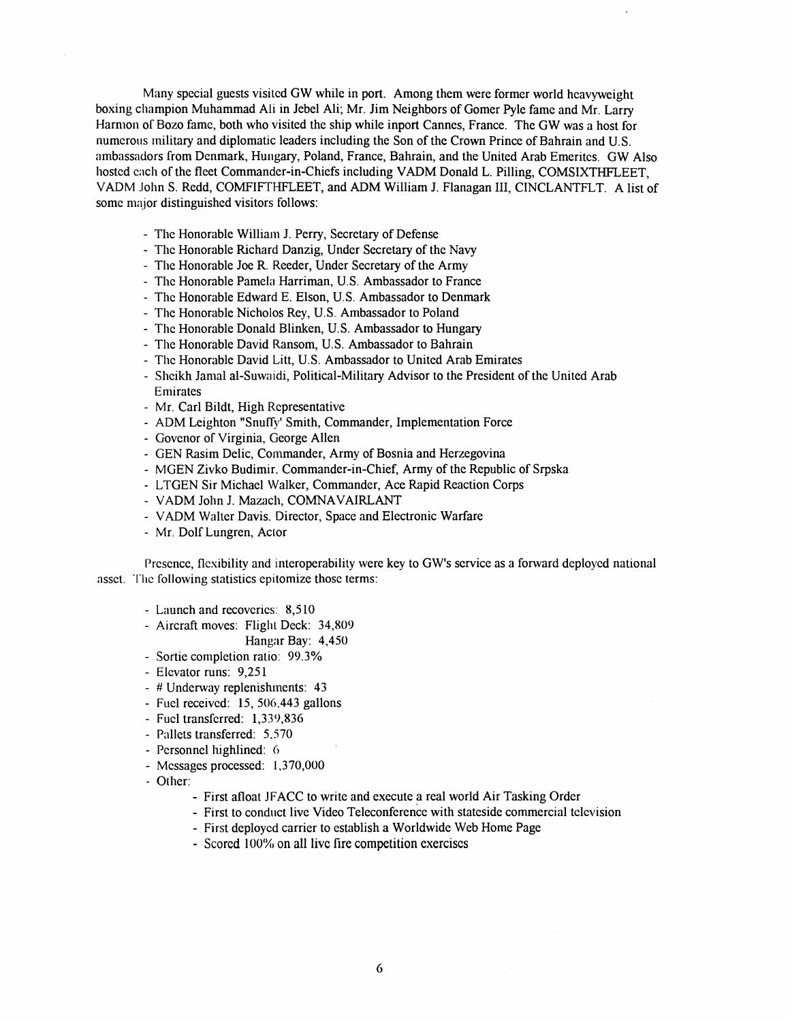Many special guests visitcd GW while in port. Among them were former world heavyweight boxing champion Muhammad Ali in Jebel Ali; Mr. Jim Neighbors of Gomer Pyle fame and Mr. Larry Harmon of Bozo fame, both who visited the ship while inport Cannes, France. The GW was a host for numerous military and diplomatic leaders including the Son of the Crown Prince of Bahrain and U.S. ambassadors irom Dcnmark, Hungary, Poland, France, Bahrain, and the United Arab Emeritcs. GW Also hosted each of the fleet Commander-in-Chiefs including VADM Donald L. Pilling, COMSIXTHFLEET, VADM John S. Redd, COMFIFTHFLEET, and ADM William J. Flanagan III, CINCLANTFLT. A list of some major distinguished visitors follows:

- Thc Honorable Williain J. Perry, Secretary of Defense
- Thc Honorable Richard Danzig, Under Secretary of the Navy
- The Honorable Joe R. Reeder, Under Secretary of the Army
- Thc Honorable Pamcla Harriman, U.S. Ambassador to France
- Thc Honorable Edward E. Elson, U.S. Ambassador to Denmark
- The Honorable Nicholos Rey, U.S. Ambassador to Poland
- The Honorable Donald Blinken, U.S. Ambassador to Hungary
- The Honorable David Ransom, U.S. Ambassador to Bahrain
- Thc Honorable David Litt, U.S. Ambassador to United Arab Emirates
- Shcikh Jamal al-Suwaidi, Political-Military Advisor to the President of the United Arab Emirates
- Mr. Carl Bildt, High Rcpresentative
- ADM Leighton "Snuffy' Smith, Commander, Implementation Force
- Govenor of Virginia, George Allen
- GEN Rasim Delic, Commander, Army of Bosnia and Herzegovina
- MGEN Zivko Budimir. Commander-in-Chief, Army of the Republic of Srpska
- LTGEN Sir Michael Walker, Commander, Ace Rapid Reaction Corps
- VADM John J. Mazach, COMNAVAIRLANT
- VADM Walter Davis. Director, Space and Electronic Warfare
- Mr. Dolf Lungren, Actor

Presence, flexibility and interoperability were key to GW's service as a forward deployed national asset. The following statistics epitomize those terms:

- Launch and recoveries: 8,510
- Aircraft moves: Flight Deck: 34,809

Hangar Bay: 4,450

- Sortie completion ratio: 99.3%
- Elcvator runs: 9,25 1
- # Underway replenishments: 43
- Fucl receivcd: 15, 506.443 gallons
- Fucl transfcrred: 1,339,836
- Pallets transferred: 5,570
- Personnel highlined: 6
- Mcssagcs processed: 1,370,000
- OLher:
	- First afloat JFACC to write and execute a real world Air Tasking Order
	- First to conduct live Video Teleconference with stateside commercial television
	- First deploycd carrier to cstablish a Worldwide Web Home Page
	- Scored 100% on all live fire competition exercises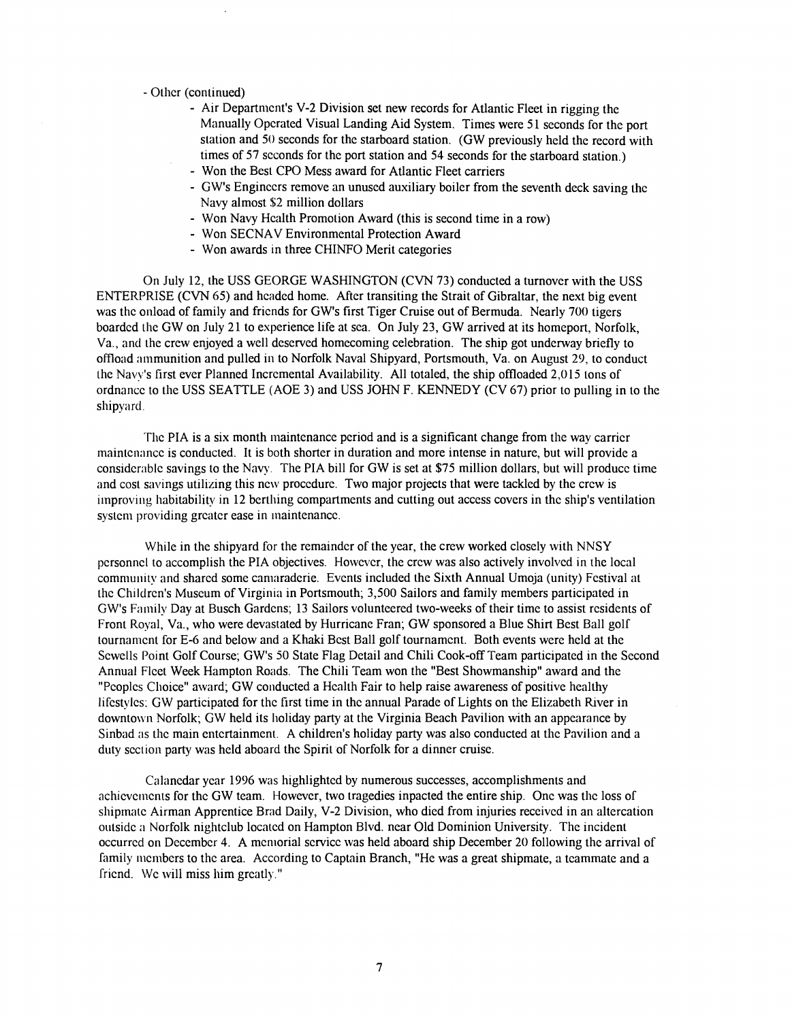## - Othcr (continued)

- Air Department's V-2 Division set new records for Atlantic Fleet in rigging the Manually Operated Visual Landing Aid System. Times were 51 seconds for the port station and 50 seconds for the starboard station. (GW previously held the record with times of 57 scconds for the port station and 54 seconds for the starboard station.)
- Won the Best CPO Mess award for Atlantic Fleet carriers
- GW's Enginccrs remove an unused auxiliary boiler from the seventh deck saving the Navy almost \$2 million dollars
- Won Navy Hcalth Promotion Award (this is second time in a row)
- Won SECNAV Environmental Protection Award
- Won awards in three CHINFO Merit categories

On July 12, he USS GEORGE WASHINGTON (CVN 73) conducted a turnover with the USS ENTERPRISE (CVN 65) and headed home. After transiting the Strait of Gibraltar, the next big event was the onload of family and friends for GW's first Tiger Cruise out of Bermuda. Nearly 700 tigers boardcd the GW on July 21 to esperience life at sca. On July 23, GW arrived at its homeport, Norfolk, Va., and the crew enjoyed a well deserved homecoming celebration. The ship got underway briefly to offload ammunition and pulled in to Norfolk Naval Shipyard, Portsmouth, Va. on August 29, to conduct the Na\/!'s first ever Planned Incremental Availability. All totaled, the ship offloaded 2,0 15 tons of ordnancc to the USS SEATTLE (AOE 3) and USS JOHN F. KENNEDY (CV 67) prior to pulling in to the shipyard.

The PIA is a six month maintenance period and is a significant change from the way carrier rnaintcnancc is conducted. It is both shorter in duration and more intense in nature, but will provide a considcrablc savings to the Navy. The PIA bill for GW is set at \$75 million dollars, but will produce time and cost savings utilizing this ncw proccdurc. Two major projects that were tackled by the crcw is improving habitability in 12 berthing compartments and cutting out access covers in the ship's ventilation system providing greater ease in maintenance.

While in the shipyard for the remainder of the year, the crew worked closely with NNSY pcrsonncl to accomplish the PIA objectives. Howcver, the crcw was also actively involved in the local community and shared some camaraderie. Events included the Sixth Annual Umoja (unity) Festival at the Children's Museum of Virginia in Portsmouth; 3,500 Sailors and family members participated in GW's Family Day at Busch Gardens; 13 Sailors volunteered two-weeks of their time to assist residents of Front Royal, Va., who were devastated by Hurricane Fran; GW sponsored a Blue Shirt Best Ball golr tournamcnt for E-6 and below and a Khaki Bcst Ball golf tournamcnt. Both events were held at the Sewells Point Golf Course; GW's 50 State Flag Detail and Chili Cook-off Team participated in the Second Annual Flcet Week Hampton Roads. The Chili Team won the "Best Showmanship" award and the "Pcoples Choice" award; GW conducted a Health Fair to help raise awareness of positive healthy lifestyles: GW participated for thc first time in the annual Parade of Lights on the Elizabeth kver in downtown Norfolk; GW held its holiday party at the Virginia Beach Pavilion with an appearance by Sinbad as thc main entertainment. A children's holiday party was also conducted at the Pavilion and a duty section party was held aboard the Spirit of Norfolk for a dinner cruise.

Calancdar ycar 1996 was highlightcd by numerous successes, accomplishments and achievements for the GW team. However, two tragedies inpacted the entire ship. One was the loss of shiprnatc Airman Apprentice Brad Daily, V-2 Division, who died from injuries received in an altercation outside **;I** Norfolk nightclub located on Hampton Blvd. near Old Dominion University. The incident occurred on December 4. A mentorial service was held aboard ship December 20 following the arrival of family members to the area. According to Captain Branch, "He was a great shipmate, a teammate and a friend. We will miss him greatly."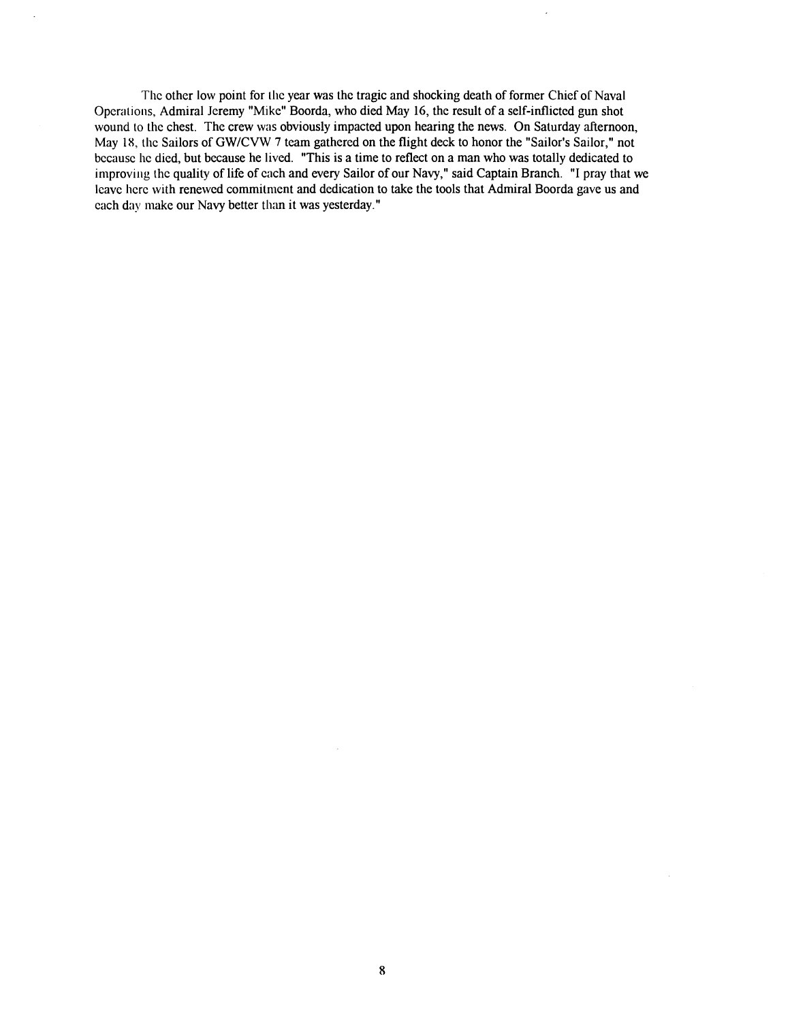The other low point for the year was the tragic and shocking death of former Chief of Naval Operations, Admiral Jeremy "Mike" Boorda, who died May 16, the result of a self-inflicted gun shot wound to the chest. The crew was obviously impacted upon hearing the news. On Saturday afternoon, May 18, the Sailors of GW/CVW 7 team gathered on the flight deck to honor the "Sailor's Sailor," not because he died, but because he lived. "This is a time to reflect on a man who was totally dedicated to improving the quality of life of each and every Sailor of our Navy," said Captain Branch. "I pray that we leave here with renewed commitment and dedication to take the tools that Admiral Boorda gave us and each day make our Navy better than it was yesterday."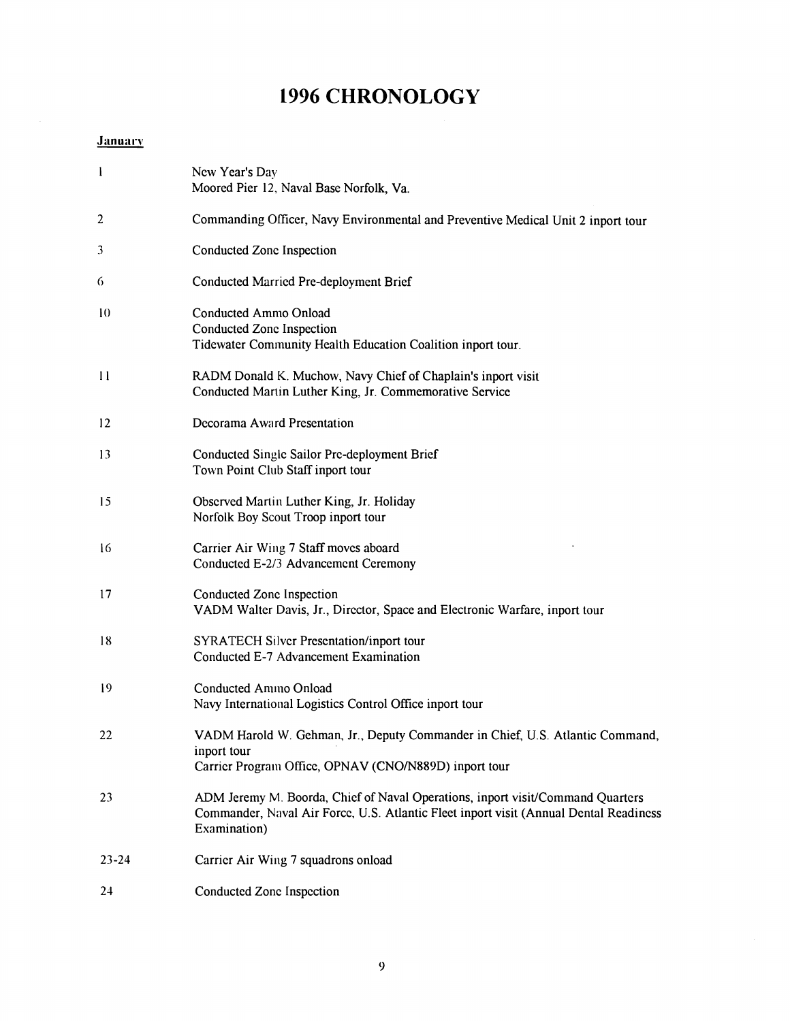# **1996 CHRONOLOGY**

# **January**

| $\mathbf{l}$ | New Year's Day<br>Moored Pier 12, Naval Base Norfolk, Va.                                                                                                                               |
|--------------|-----------------------------------------------------------------------------------------------------------------------------------------------------------------------------------------|
| 2            | Commanding Officer, Navy Environmental and Preventive Medical Unit 2 inport tour                                                                                                        |
| 3            | Conducted Zone Inspection                                                                                                                                                               |
| 6            | Conducted Married Pre-deployment Brief                                                                                                                                                  |
| 10           | Conducted Ammo Onload<br>Conducted Zone Inspection<br>Tidewater Community Health Education Coalition inport tour.                                                                       |
| $\mathbf{1}$ | RADM Donald K. Muchow, Navy Chief of Chaplain's inport visit<br>Conducted Martin Luther King, Jr. Commemorative Service                                                                 |
| 12           | Decorama Award Presentation                                                                                                                                                             |
| 13           | Conducted Single Sailor Pre-deployment Brief<br>Town Point Club Staff inport tour                                                                                                       |
| 15           | Observed Martin Luther King, Jr. Holiday<br>Norfolk Boy Scout Troop inport tour                                                                                                         |
| 16           | Carrier Air Wing 7 Staff moves aboard<br>Conducted E-2/3 Advancement Ceremony                                                                                                           |
| 17           | Conducted Zone Inspection<br>VADM Walter Davis, Jr., Director, Space and Electronic Warfare, inport tour                                                                                |
| 18           | <b>SYRATECH Silver Presentation/inport tour</b><br>Conducted E-7 Advancement Examination                                                                                                |
| 19           | Conducted Amino Onload<br>Navy International Logistics Control Office inport tour                                                                                                       |
| 22           | VADM Harold W. Gehman, Jr., Deputy Commander in Chief, U.S. Atlantic Command,<br>inport tour<br>Carrier Program Office, OPNAV (CNO/N889D) inport tour                                   |
| 23           | ADM Jeremy M. Boorda, Chief of Naval Operations, inport visit/Command Quarters<br>Commander, Naval Air Force, U.S. Atlantic Fleet inport visit (Annual Dental Readiness<br>Examination) |
| $23 - 24$    | Carrier Air Wing 7 squadrons onload                                                                                                                                                     |
| 24           | Conducted Zone Inspection                                                                                                                                                               |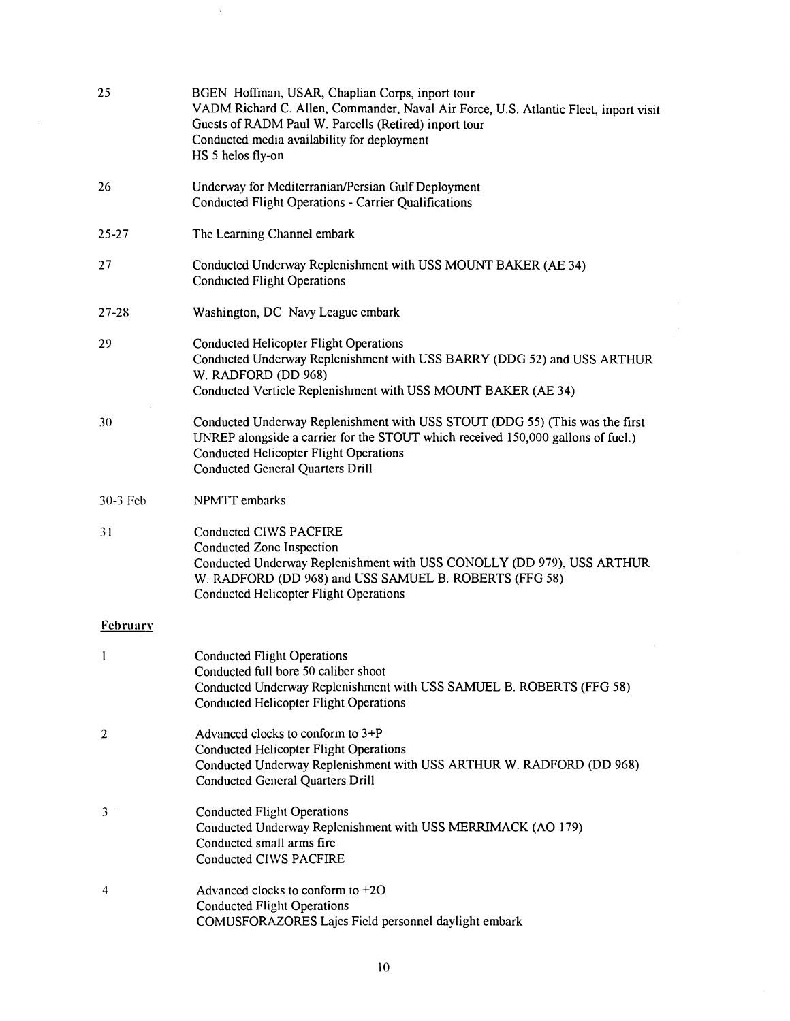| 25              | BGEN Hoffman, USAR, Chaplian Corps, inport tour<br>VADM Richard C. Allen, Commander, Naval Air Force, U.S. Atlantic Fleet, inport visit<br>Guests of RADM Paul W. Parcells (Retired) inport tour<br>Conducted media availability for deployment<br>HS 5 helos fly-on |
|-----------------|----------------------------------------------------------------------------------------------------------------------------------------------------------------------------------------------------------------------------------------------------------------------|
| 26              | Underway for Mediterranian/Persian Gulf Deployment<br><b>Conducted Flight Operations - Carrier Qualifications</b>                                                                                                                                                    |
| $25 - 27$       | The Learning Channel embark                                                                                                                                                                                                                                          |
| 27              | Conducted Underway Replenishment with USS MOUNT BAKER (AE 34)<br><b>Conducted Flight Operations</b>                                                                                                                                                                  |
| $27 - 28$       | Washington, DC Navy League embark                                                                                                                                                                                                                                    |
| 29              | <b>Conducted Helicopter Flight Operations</b><br>Conducted Underway Replenishment with USS BARRY (DDG 52) and USS ARTHUR<br>W. RADFORD (DD 968)<br>Conducted Verticle Replenishment with USS MOUNT BAKER (AE 34)                                                     |
| 30              | Conducted Underway Replenishment with USS STOUT (DDG 55) (This was the first<br>UNREP alongside a carrier for the STOUT which received 150,000 gallons of fuel.)<br><b>Conducted Helicopter Flight Operations</b><br><b>Conducted General Quarters Drill</b>         |
| $30-3$ Feb      | NPMTT embarks                                                                                                                                                                                                                                                        |
| 31              | Conducted CIWS PACFIRE<br>Conducted Zone Inspection<br>Conducted Underway Replenishment with USS CONOLLY (DD 979), USS ARTHUR<br>W. RADFORD (DD 968) and USS SAMUEL B. ROBERTS (FFG 58)<br><b>Conducted Helicopter Flight Operations</b>                             |
| <b>February</b> |                                                                                                                                                                                                                                                                      |
| 1               | <b>Conducted Flight Operations</b><br>Conducted full bore 50 caliber shoot<br>Conducted Underway Replenishment with USS SAMUEL B. ROBERTS (FFG 58)<br><b>Conducted Helicopter Flight Operations</b>                                                                  |
| 2               | Advanced clocks to conform to 3+P<br><b>Conducted Helicopter Flight Operations</b><br>Conducted Underway Replenishment with USS ARTHUR W. RADFORD (DD 968)<br><b>Conducted General Quarters Drill</b>                                                                |
| 3               | <b>Conducted Flight Operations</b><br>Conducted Underway Replenishment with USS MERRIMACK (AO 179)<br>Conducted small arms fire<br>Conducted CIWS PACFIRE                                                                                                            |
| 4               | Advanced clocks to conform to $+20$<br><b>Conducted Flight Operations</b><br>COMUSFORAZORES Lajes Field personnel daylight embark                                                                                                                                    |

 $\sim 10^7$ 

 $\bar{\bar{z}}$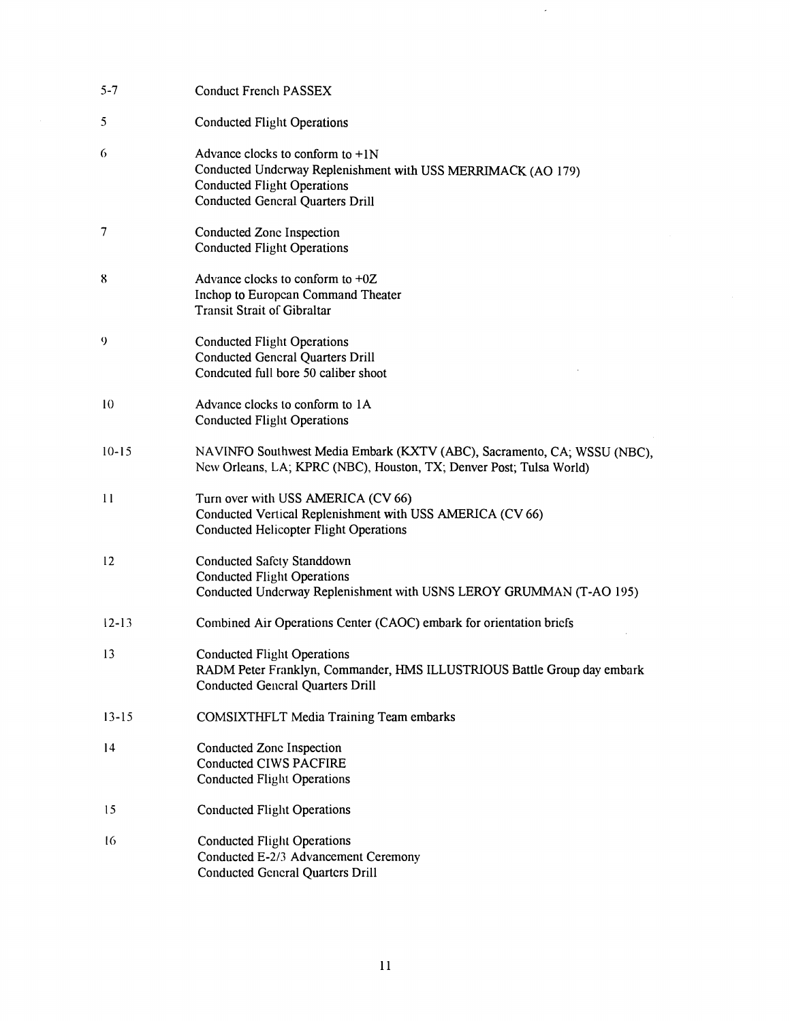| $5 - 7$          | Conduct French PASSEX                                                                                                                                                               |
|------------------|-------------------------------------------------------------------------------------------------------------------------------------------------------------------------------------|
| 5                | <b>Conducted Flight Operations</b>                                                                                                                                                  |
| 6                | Advance clocks to conform to $+1N$<br>Conducted Undcrway Replenishment with USS MERRIMACK (AO 179)<br><b>Conducted Flight Operations</b><br><b>Conducted General Quarters Drill</b> |
| 7                | Conducted Zone Inspection<br><b>Conducted Flight Operations</b>                                                                                                                     |
| 8                | Advance clocks to conform to $+0Z$<br>Inchop to European Command Theater<br><b>Transit Strait of Gibraltar</b>                                                                      |
| $\boldsymbol{Q}$ | <b>Conducted Flight Operations</b><br><b>Conducted General Quarters Drill</b><br>Condcuted full bore 50 caliber shoot                                                               |
| 10               | Advance clocks to conform to 1A<br><b>Conducted Flight Operations</b>                                                                                                               |
| $10 - 15$        | NAVINFO Southwest Media Embark (KXTV (ABC), Sacramento, CA; WSSU (NBC),<br>New Orleans, LA; KPRC (NBC), Houston, TX; Denver Post; Tulsa World)                                      |
| $\mathbf{1}$     | Turn over with USS AMERICA (CV 66)<br>Conducted Vertical Replenishment with USS AMERICA (CV 66)<br><b>Conducted Helicopter Flight Operations</b>                                    |
| 12               | <b>Conducted Safety Standdown</b><br><b>Conducted Flight Operations</b><br>Conducted Underway Replenishment with USNS LEROY GRUMMAN (T-AO 195)                                      |
| $12 - 13$        | Combined Air Operations Center (CAOC) embark for orientation briefs                                                                                                                 |
| 13               | <b>Conducted Flight Operations</b><br>RADM Peter Franklyn, Commander, HMS ILLUSTRIOUS Battle Group day embark<br><b>Conducted General Quarters Drill</b>                            |
| $13 - 15$        | <b>COMSIXTHFLT Media Training Team embarks</b>                                                                                                                                      |
| 14               | Conducted Zone Inspection<br><b>Conducted CIWS PACFIRE</b><br><b>Conducted Flight Operations</b>                                                                                    |
| 15               | <b>Conducted Flight Operations</b>                                                                                                                                                  |
| 16               | <b>Conducted Flight Operations</b><br>Conducted E-2/3 Advancement Ceremony<br><b>Conducted General Quarters Drill</b>                                                               |

 $\hat{\boldsymbol{\beta}}$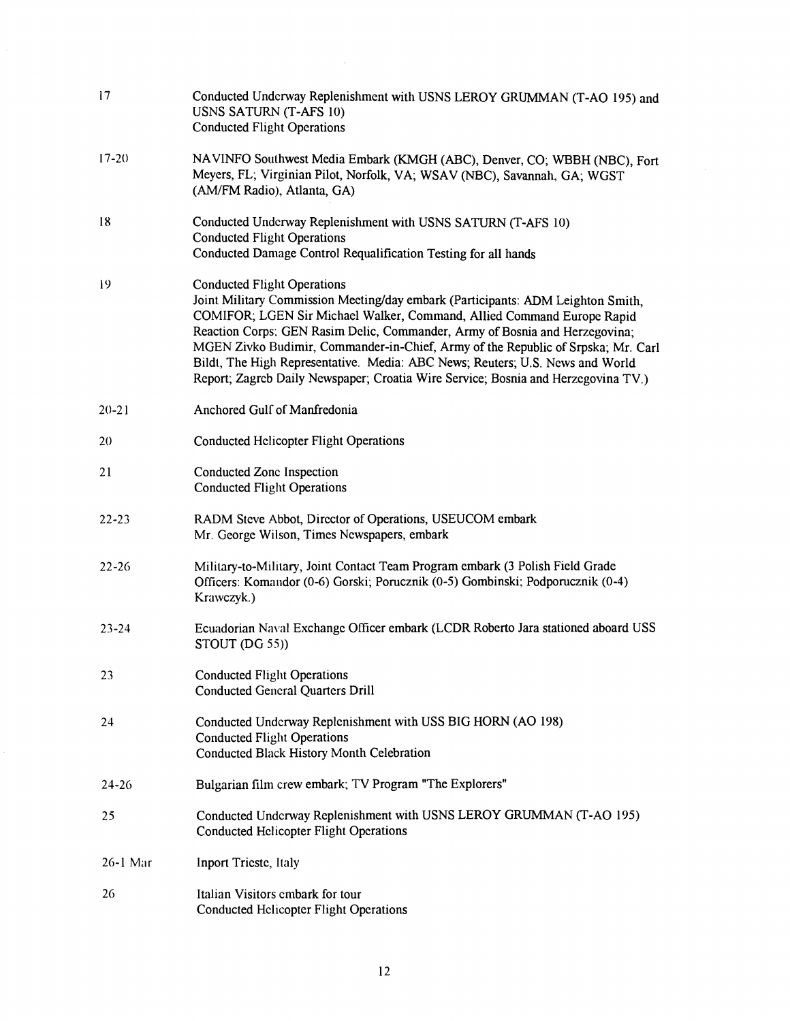| 17         | Conducted Underway Replenishment with USNS LEROY GRUMMAN (T-AO 195) and<br>USNS SATURN (T-AFS 10)<br><b>Conducted Flight Operations</b>                                                                                                                                                                                                                                                                                                                                                                                                  |
|------------|------------------------------------------------------------------------------------------------------------------------------------------------------------------------------------------------------------------------------------------------------------------------------------------------------------------------------------------------------------------------------------------------------------------------------------------------------------------------------------------------------------------------------------------|
| $17 - 20$  | NAVINFO Southwest Media Embark (KMGH (ABC), Denver, CO; WBBH (NBC), Fort<br>Meyers, FL; Virginian Pilot, Norfolk, VA; WSAV (NBC), Savannah, GA; WGST<br>(AM/FM Radio), Atlanta, GA)                                                                                                                                                                                                                                                                                                                                                      |
| 18         | Conducted Underway Replenishment with USNS SATURN (T-AFS 10)<br><b>Conducted Flight Operations</b><br>Conducted Damage Control Requalification Testing for all hands                                                                                                                                                                                                                                                                                                                                                                     |
| 19         | <b>Conducted Flight Operations</b><br>Joint Military Commission Meeting/day embark (Participants: ADM Leighton Smith,<br>COMIFOR; LGEN Sir Michael Walker, Command, Allied Command Europe Rapid<br>Reaction Corps: GEN Rasim Delic, Commander, Army of Bosnia and Herzegovina;<br>MGEN Zivko Budimir, Commander-in-Chief, Army of the Republic of Srpska; Mr. Carl<br>Bildt, The High Representative. Media: ABC News; Reuters; U.S. News and World<br>Report; Zagreb Daily Newspaper; Croatia Wire Service; Bosnia and Herzegovina TV.) |
| $20 - 21$  | Anchored Gulf of Manfredonia                                                                                                                                                                                                                                                                                                                                                                                                                                                                                                             |
| 20         | <b>Conducted Helicopter Flight Operations</b>                                                                                                                                                                                                                                                                                                                                                                                                                                                                                            |
| 21         | Conducted Zone Inspection<br><b>Conducted Flight Operations</b>                                                                                                                                                                                                                                                                                                                                                                                                                                                                          |
| $22 - 23$  | RADM Steve Abbot, Director of Operations, USEUCOM embark<br>Mr. George Wilson, Times Newspapers, embark                                                                                                                                                                                                                                                                                                                                                                                                                                  |
| $22 - 26$  | Military-to-Military, Joint Contact Team Program embark (3 Polish Field Grade<br>Officers: Komandor (0-6) Gorski; Porucznik (0-5) Gombinski; Podporucznik (0-4)<br>Krawczyk.)                                                                                                                                                                                                                                                                                                                                                            |
| $23 - 24$  | Ecuadorian Naval Exchange Officer embark (LCDR Roberto Jara stationed aboard USS<br>STOUT (DG 55))                                                                                                                                                                                                                                                                                                                                                                                                                                       |
| 23         | <b>Conducted Flight Operations</b><br><b>Conducted General Quarters Drill</b>                                                                                                                                                                                                                                                                                                                                                                                                                                                            |
| 24         | Conducted Underway Replenishment with USS BIG HORN (AO 198)<br><b>Conducted Flight Operations</b><br>Conducted Black History Month Celebration                                                                                                                                                                                                                                                                                                                                                                                           |
| $24 - 26$  | Bulgarian film crew embark; TV Program "The Explorers"                                                                                                                                                                                                                                                                                                                                                                                                                                                                                   |
| 25         | Conducted Underway Replenishment with USNS LEROY GRUMMAN (T-AO 195)<br><b>Conducted Helicopter Flight Operations</b>                                                                                                                                                                                                                                                                                                                                                                                                                     |
| $26-1$ Mar | Inport Tricste, Italy                                                                                                                                                                                                                                                                                                                                                                                                                                                                                                                    |
| 26         | Italian Visitors embark for tour<br><b>Conducted Helicopter Flight Operations</b>                                                                                                                                                                                                                                                                                                                                                                                                                                                        |

 $\sim$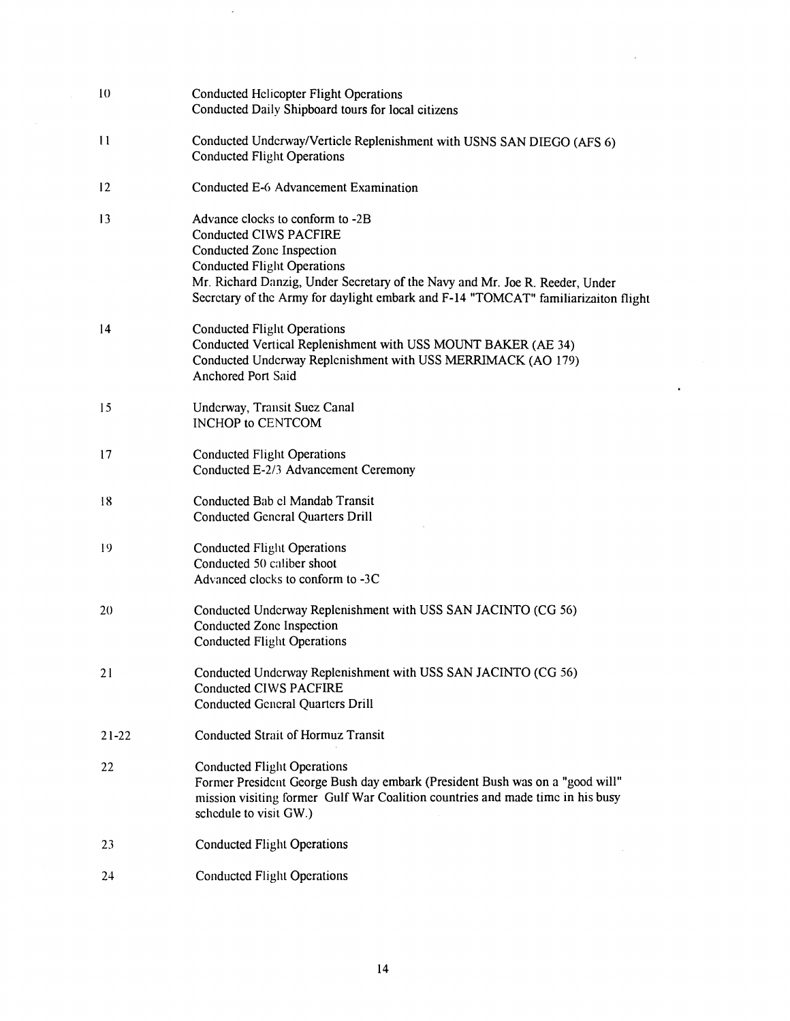| 10           | <b>Conducted Helicopter Flight Operations</b><br>Conducted Daily Shipboard tours for local citizens                                                                                                                                                                                                 |
|--------------|-----------------------------------------------------------------------------------------------------------------------------------------------------------------------------------------------------------------------------------------------------------------------------------------------------|
| $\mathbf{1}$ | Conducted Underway/Verticle Replenishment with USNS SAN DIEGO (AFS 6)<br><b>Conducted Flight Operations</b>                                                                                                                                                                                         |
| 12           | Conducted E-6 Advancement Examination                                                                                                                                                                                                                                                               |
| 13           | Advance clocks to conform to -2B<br>Conducted CIWS PACFIRE<br>Conducted Zone Inspection<br><b>Conducted Flight Operations</b><br>Mr. Richard Danzig, Under Secretary of the Navy and Mr. Joe R. Reeder, Under<br>Secretary of the Army for daylight embark and F-14 "TOMCAT" familiarizaiton flight |
| 14           | <b>Conducted Flight Operations</b><br>Conducted Vertical Replenishment with USS MOUNT BAKER (AE 34)<br>Conducted Underway Replenishment with USS MERRIMACK (AO 179)<br><b>Anchored Port Said</b>                                                                                                    |
| 15           | Underway, Transit Suez Canal<br><b>INCHOP to CENTCOM</b>                                                                                                                                                                                                                                            |
| 17           | <b>Conducted Flight Operations</b><br>Conducted E-2/3 Advancement Ceremony                                                                                                                                                                                                                          |
| 18           | Conducted Bab el Mandab Transit<br><b>Conducted General Quarters Drill</b>                                                                                                                                                                                                                          |
| 19           | <b>Conducted Flight Operations</b><br>Conducted 50 caliber shoot<br>Advanced clocks to conform to -3C                                                                                                                                                                                               |
| 20           | Conducted Underway Replenishment with USS SAN JACINTO (CG 56)<br>Conducted Zone Inspection<br><b>Conducted Flight Operations</b>                                                                                                                                                                    |
| 21           | Conducted Underway Replenishment with USS SAN JACINTO (CG 56)<br><b>Conducted CIWS PACFIRE</b><br><b>Conducted General Quarters Drill</b>                                                                                                                                                           |
| $21 - 22$    | <b>Conducted Strait of Hormuz Transit</b>                                                                                                                                                                                                                                                           |
| 22           | <b>Conducted Flight Operations</b><br>Former President George Bush day embark (President Bush was on a "good will"<br>mission visiting former Gulf War Coalition countries and made time in his busy<br>schedule to visit GW.)                                                                      |
| 23           | <b>Conducted Flight Operations</b>                                                                                                                                                                                                                                                                  |
| 24           | <b>Conducted Flight Operations</b>                                                                                                                                                                                                                                                                  |

ś

 $\bar{\epsilon}$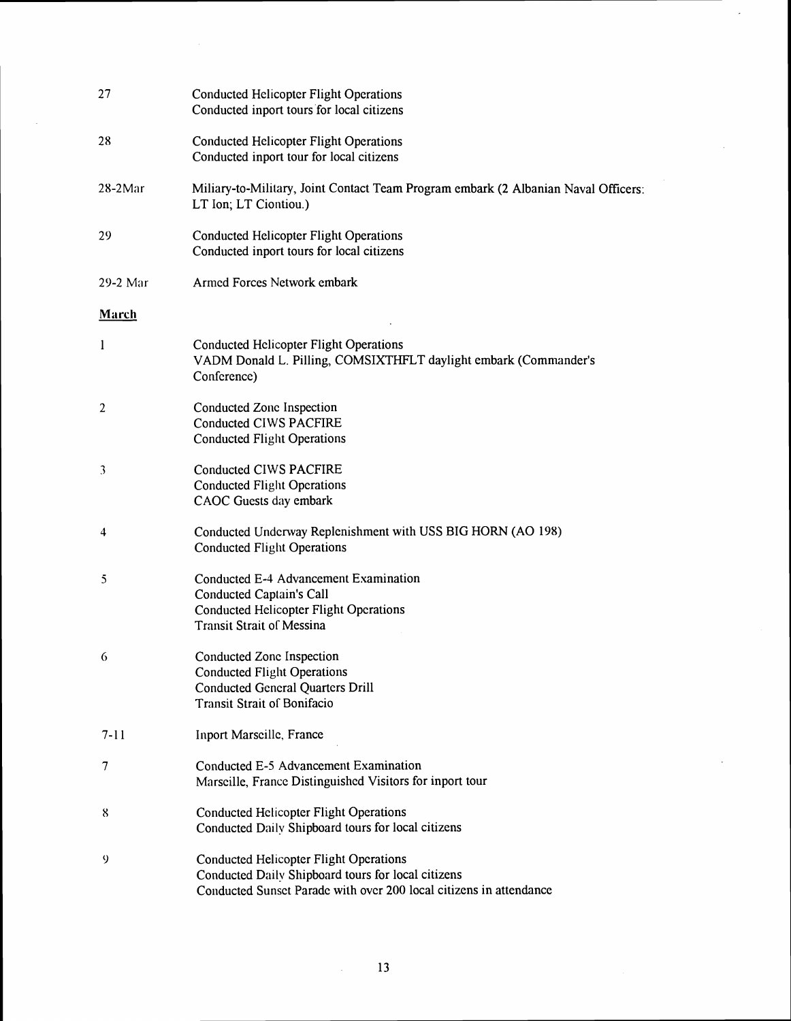| 27             | <b>Conducted Helicopter Flight Operations</b><br>Conducted inport tours for local citizens                                                                                |
|----------------|---------------------------------------------------------------------------------------------------------------------------------------------------------------------------|
| 28             | <b>Conducted Helicopter Flight Operations</b><br>Conducted inport tour for local citizens                                                                                 |
| $28-2$ Mar     | Miliary-to-Military, Joint Contact Team Program embark (2 Albanian Naval Officers:<br>LT Ion; LT Ciontiou.)                                                               |
| 29             | <b>Conducted Helicopter Flight Operations</b><br>Conducted inport tours for local citizens                                                                                |
| 29-2 Mar       | Armed Forces Network embark                                                                                                                                               |
| March          |                                                                                                                                                                           |
| $\mathbf{1}$   | <b>Conducted Helicopter Flight Operations</b><br>VADM Donald L. Pilling, COMSIXTHFLT daylight embark (Commander's<br>Conference)                                          |
| $\overline{2}$ | Conducted Zone Inspection<br><b>Conducted CIWS PACFIRE</b><br><b>Conducted Flight Operations</b>                                                                          |
| 3              | Conducted CIWS PACFIRE<br><b>Conducted Flight Operations</b><br>CAOC Guests day embark                                                                                    |
| 4              | Conducted Underway Replenishment with USS BIG HORN (AO 198)<br><b>Conducted Flight Operations</b>                                                                         |
| 5              | Conducted E-4 Advancement Examination<br>Conducted Captain's Call<br><b>Conducted Helicopter Flight Operations</b><br><b>Transit Strait of Messina</b>                    |
| 6              | Conducted Zone Inspection<br><b>Conducted Flight Operations</b><br><b>Conducted General Quarters Drill</b><br><b>Transit Strait of Bonifacio</b>                          |
| $7 - 11$       | Inport Marscille, France                                                                                                                                                  |
| 7              | Conducted E-5 Advancement Examination<br>Marscille, France Distinguished Visitors for inport tour                                                                         |
| 8              | <b>Conducted Helicopter Flight Operations</b><br>Conducted Daily Shipboard tours for local citizens                                                                       |
| 9              | <b>Conducted Helicopter Flight Operations</b><br>Conducted Daily Shipboard tours for local citizens<br>Conducted Sunset Parade with over 200 local citizens in attendance |

 $\mathcal{L}$ 

 $\overline{\phantom{a}}$ 

 $\mathcal{A}^{\mathcal{A}}$ 

 $\mathcal{A}^{\text{out}}$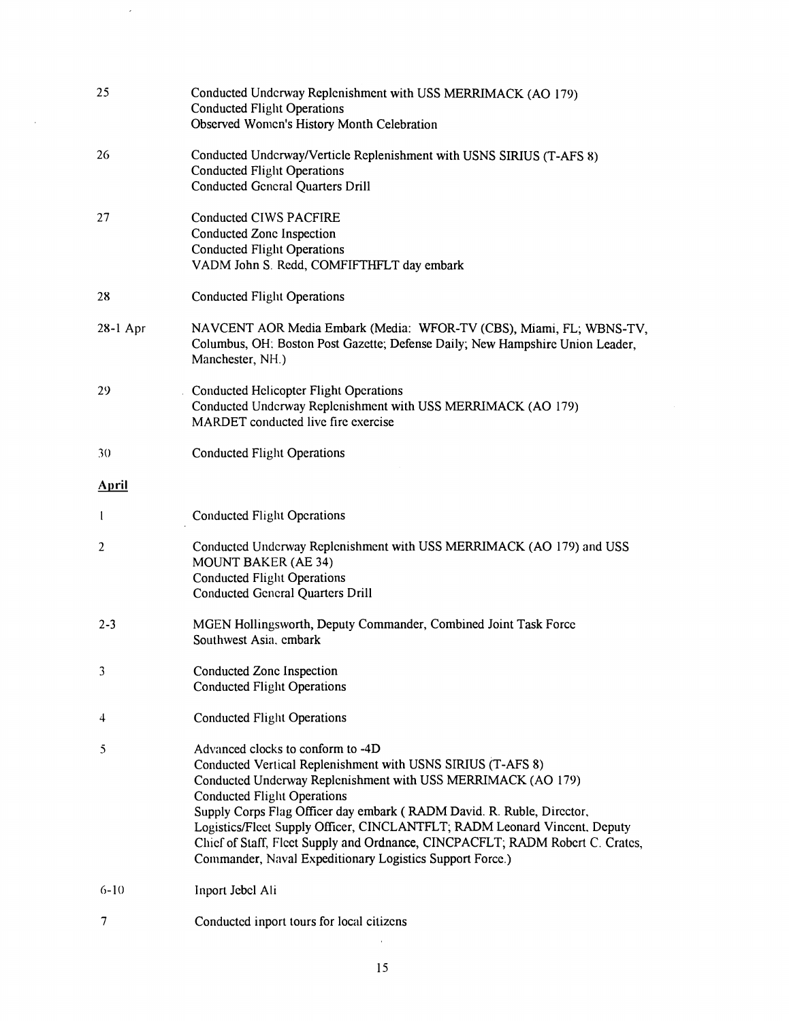| 25             | Conducted Underway Replenishment with USS MERRIMACK (AO 179)<br><b>Conducted Flight Operations</b><br>Observed Women's History Month Celebration                                                                                                                                                                                                                                                                                                                                                          |
|----------------|-----------------------------------------------------------------------------------------------------------------------------------------------------------------------------------------------------------------------------------------------------------------------------------------------------------------------------------------------------------------------------------------------------------------------------------------------------------------------------------------------------------|
| 26             | Conducted Underway/Verticle Replenishment with USNS SIRIUS (T-AFS 8)<br><b>Conducted Flight Operations</b><br><b>Conducted General Quarters Drill</b>                                                                                                                                                                                                                                                                                                                                                     |
| 27             | Conducted CIWS PACFIRE<br>Conducted Zone Inspection<br><b>Conducted Flight Operations</b><br>VADM John S. Redd, COMFIFTHFLT day embark                                                                                                                                                                                                                                                                                                                                                                    |
| 28             | <b>Conducted Flight Operations</b>                                                                                                                                                                                                                                                                                                                                                                                                                                                                        |
| $28-1$ Apr     | NAVCENT AOR Media Embark (Media: WFOR-TV (CBS), Miami, FL; WBNS-TV,<br>Columbus, OH: Boston Post Gazette; Defense Daily; New Hampshire Union Leader,<br>Manchester, NH.)                                                                                                                                                                                                                                                                                                                                  |
| 29             | <b>Conducted Helicopter Flight Operations</b><br>Conducted Underway Replenishment with USS MERRIMACK (AO 179)<br>MARDET conducted live fire exercise                                                                                                                                                                                                                                                                                                                                                      |
| 30             | <b>Conducted Flight Operations</b>                                                                                                                                                                                                                                                                                                                                                                                                                                                                        |
| <b>April</b>   |                                                                                                                                                                                                                                                                                                                                                                                                                                                                                                           |
| 1              | <b>Conducted Flight Operations</b>                                                                                                                                                                                                                                                                                                                                                                                                                                                                        |
| $\overline{2}$ | Conducted Underway Replenishment with USS MERRIMACK (AO 179) and USS<br><b>MOUNT BAKER (AE 34)</b><br><b>Conducted Flight Operations</b><br><b>Conducted General Quarters Drill</b>                                                                                                                                                                                                                                                                                                                       |
| $2 - 3$        | MGEN Hollingsworth, Deputy Commander, Combined Joint Task Force<br>Southwest Asia, embark                                                                                                                                                                                                                                                                                                                                                                                                                 |
| 3              | Conducted Zone Inspection<br><b>Conducted Flight Operations</b>                                                                                                                                                                                                                                                                                                                                                                                                                                           |
| 4              | <b>Conducted Flight Operations</b>                                                                                                                                                                                                                                                                                                                                                                                                                                                                        |
| 5              | Advanced clocks to conform to -4D<br>Conducted Vertical Replenishment with USNS SIRIUS (T-AFS 8)<br>Conducted Underway Replenishment with USS MERRIMACK (AO 179)<br><b>Conducted Flight Operations</b><br>Supply Corps Flag Officer day embark (RADM David. R. Ruble, Director,<br>Logistics/Fleet Supply Officer, CINCLANTFLT; RADM Leonard Vincent, Deputy<br>Chief of Staff, Fleet Supply and Ordnance, CINCPACFLT; RADM Robert C. Crates,<br>Commander, Naval Expeditionary Logistics Support Force.) |
| $6-10$         | Inport Jebel Ali                                                                                                                                                                                                                                                                                                                                                                                                                                                                                          |

 $\overline{7}$ Conductcd inport tours for local citizcns

 $\sim$ 

 $\sim$   $\sim$ 

 $\hat{\mathcal{A}}$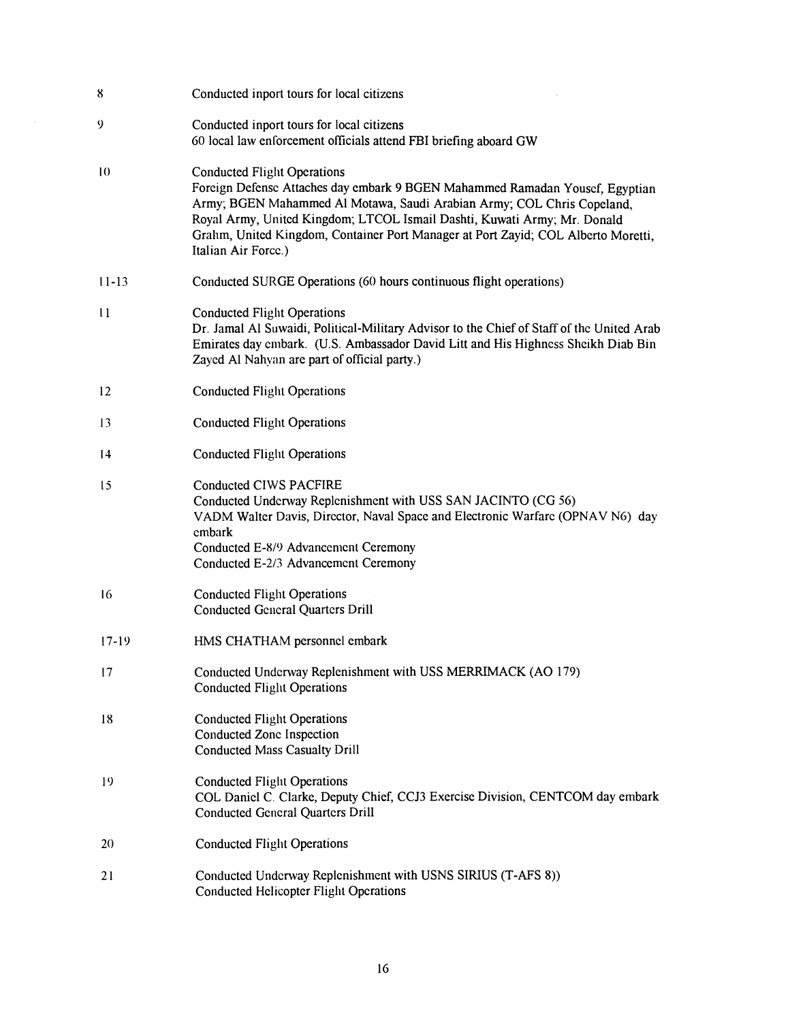| 8               | Conducted inport tours for local citizens                                                                                                                                                                                                                                                                                                                                            |
|-----------------|--------------------------------------------------------------------------------------------------------------------------------------------------------------------------------------------------------------------------------------------------------------------------------------------------------------------------------------------------------------------------------------|
| 9               | Conducted inport tours for local citizens<br>60 local law enforcement officials attend FBI briefing aboard GW                                                                                                                                                                                                                                                                        |
| $\overline{10}$ | <b>Conducted Flight Operations</b><br>Foreign Defense Attaches day embark 9 BGEN Mahammed Ramadan Yousef, Egyptian<br>Army; BGEN Mahammed Al Motawa, Saudi Arabian Army; COL Chris Copeland,<br>Royal Army, United Kingdom; LTCOL Ismail Dashti, Kuwati Army; Mr. Donald<br>Grahm, United Kingdom, Container Port Manager at Port Zayid; COL Alberto Moretti,<br>Italian Air Force.) |
| $11 - 13$       | Conducted SURGE Operations (60 hours continuous flight operations)                                                                                                                                                                                                                                                                                                                   |
| $\mathbf{11}$   | <b>Conducted Flight Operations</b><br>Dr. Jamal Al Suwaidi, Political-Military Advisor to the Chief of Staff of the United Arab<br>Emirates day embark. (U.S. Ambassador David Litt and His Highness Sheikh Diab Bin<br>Zayed Al Nahyan are part of official party.)                                                                                                                 |
| 12              | <b>Conducted Flight Operations</b>                                                                                                                                                                                                                                                                                                                                                   |
| 13              | <b>Conducted Flight Operations</b>                                                                                                                                                                                                                                                                                                                                                   |
| $\overline{14}$ | <b>Conducted Flight Operations</b>                                                                                                                                                                                                                                                                                                                                                   |
| 15              | Conducted CIWS PACFIRE<br>Conducted Underway Replenishment with USS SAN JACINTO (CG 56)<br>VADM Walter Davis, Director, Naval Space and Electronic Warfare (OPNAV N6) day<br>cmbark<br>Conducted E-8/9 Advancement Ceremony<br>Conducted E-2/3 Advancement Ceremony                                                                                                                  |
| 16              | <b>Conducted Flight Operations</b><br><b>Conducted General Quarters Drill</b>                                                                                                                                                                                                                                                                                                        |
| $17-19$         | HMS CHATHAM personnel embark                                                                                                                                                                                                                                                                                                                                                         |
| 17              | Conducted Underway Replenishment with USS MERRIMACK (AO 179)<br><b>Conducted Flight Operations</b>                                                                                                                                                                                                                                                                                   |
| 18              | <b>Conducted Flight Operations</b><br>Conducted Zone Inspection<br><b>Conducted Mass Casualty Drill</b>                                                                                                                                                                                                                                                                              |
| 19              | <b>Conducted Flight Operations</b><br>COL Daniel C. Clarke, Deputy Chief, CCJ3 Exercise Division, CENTCOM day embark<br><b>Conducted General Quarters Drill</b>                                                                                                                                                                                                                      |
| 20              | <b>Conducted Flight Operations</b>                                                                                                                                                                                                                                                                                                                                                   |
| 21              | Conducted Underway Replenishment with USNS SIRIUS (T-AFS 8))<br><b>Conducted Helicopter Flight Operations</b>                                                                                                                                                                                                                                                                        |

 $\sim$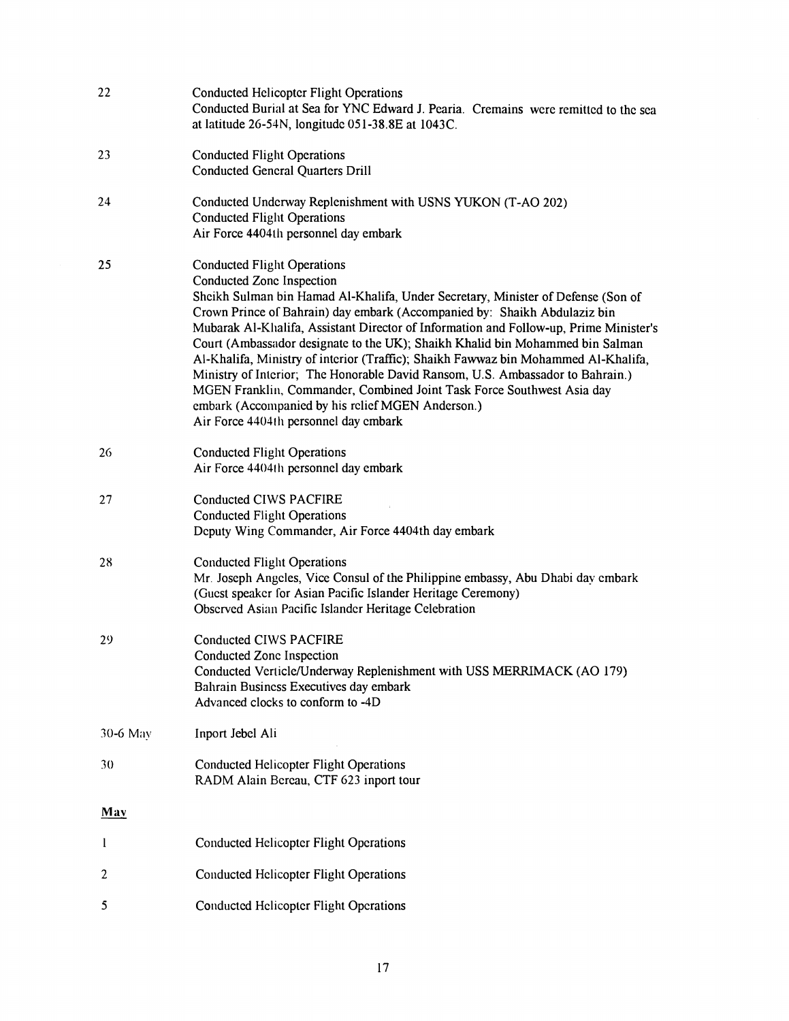| 22           | <b>Conducted Helicopter Flight Operations</b><br>Conducted Burial at Sea for YNC Edward J. Pearia. Cremains were remitted to the sea<br>at latitude 26-54N, longitude 051-38.8E at 1043C.                                                                                                                                                                                                                                                                                                                                                                                                                                                                                                                                                                  |
|--------------|------------------------------------------------------------------------------------------------------------------------------------------------------------------------------------------------------------------------------------------------------------------------------------------------------------------------------------------------------------------------------------------------------------------------------------------------------------------------------------------------------------------------------------------------------------------------------------------------------------------------------------------------------------------------------------------------------------------------------------------------------------|
| 23           | <b>Conducted Flight Operations</b><br><b>Conducted General Quarters Drill</b>                                                                                                                                                                                                                                                                                                                                                                                                                                                                                                                                                                                                                                                                              |
| 24           | Conducted Underway Replenishment with USNS YUKON (T-AO 202)<br><b>Conducted Flight Operations</b><br>Air Force 4404th personnel day embark                                                                                                                                                                                                                                                                                                                                                                                                                                                                                                                                                                                                                 |
| 25           | <b>Conducted Flight Operations</b><br>Conducted Zone Inspection<br>Sheikh Sulman bin Hamad Al-Khalifa, Under Secretary, Minister of Defense (Son of<br>Crown Prince of Bahrain) day embark (Accompanied by: Shaikh Abdulaziz bin<br>Mubarak Al-Khalifa, Assistant Director of Information and Follow-up, Prime Minister's<br>Court (Ambassador designate to the UK); Shaikh Khalid bin Mohammed bin Salman<br>Al-Khalifa, Ministry of interior (Traffic); Shaikh Fawwaz bin Mohammed Al-Khalifa,<br>Ministry of Interior; The Honorable David Ransom, U.S. Ambassador to Bahrain.)<br>MGEN Franklin, Commander, Combined Joint Task Force Southwest Asia day<br>embark (Accompanied by his relief MGEN Anderson.)<br>Air Force 4404th personnel day embark |
| 26           | <b>Conducted Flight Operations</b><br>Air Force 4404th personnel day embark                                                                                                                                                                                                                                                                                                                                                                                                                                                                                                                                                                                                                                                                                |
| 27           | Conducted CIWS PACFIRE<br><b>Conducted Flight Operations</b><br>Deputy Wing Commander, Air Force 4404th day embark                                                                                                                                                                                                                                                                                                                                                                                                                                                                                                                                                                                                                                         |
| 28           | <b>Conducted Flight Operations</b><br>Mr. Joseph Angeles, Vice Consul of the Philippine embassy, Abu Dhabi day embark<br>(Guest speaker for Asian Pacific Islander Heritage Ceremony)<br>Observed Asian Pacific Islander Heritage Celebration                                                                                                                                                                                                                                                                                                                                                                                                                                                                                                              |
| 29           | Conducted CIWS PACFIRE<br>Conducted Zone Inspection<br>Conducted Verticle/Underway Replenishment with USS MERRIMACK (AO 179)<br>Bahrain Business Executives day embark<br>Advanced clocks to conform to -4D                                                                                                                                                                                                                                                                                                                                                                                                                                                                                                                                                |
| 30-6 May     | Inport Jebel Ali                                                                                                                                                                                                                                                                                                                                                                                                                                                                                                                                                                                                                                                                                                                                           |
| 30           | <b>Conducted Helicopter Flight Operations</b><br>RADM Alain Bereau, CTF 623 inport tour                                                                                                                                                                                                                                                                                                                                                                                                                                                                                                                                                                                                                                                                    |
| May          |                                                                                                                                                                                                                                                                                                                                                                                                                                                                                                                                                                                                                                                                                                                                                            |
| $\mathbf{I}$ | <b>Conducted Helicopter Flight Operations</b>                                                                                                                                                                                                                                                                                                                                                                                                                                                                                                                                                                                                                                                                                                              |
| 2            | <b>Conducted Helicopter Flight Operations</b>                                                                                                                                                                                                                                                                                                                                                                                                                                                                                                                                                                                                                                                                                                              |
| 5            | <b>Conducted Helicopter Flight Operations</b>                                                                                                                                                                                                                                                                                                                                                                                                                                                                                                                                                                                                                                                                                                              |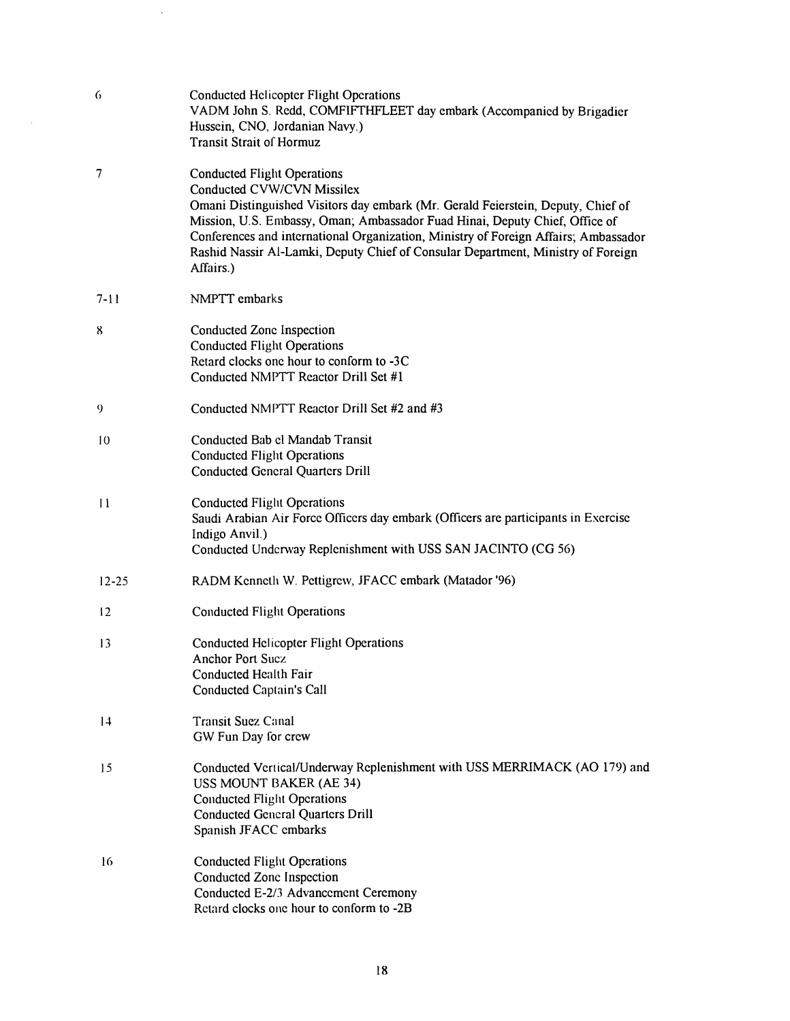| 6             | <b>Conducted Helicopter Flight Operations</b><br>VADM John S. Redd, COMFIFTHFLEET day embark (Accompanied by Brigadier<br>Hussein, CNO, Jordanian Navy.)<br><b>Transit Strait of Hormuz</b>                                                                                                                                                                                                                                 |
|---------------|-----------------------------------------------------------------------------------------------------------------------------------------------------------------------------------------------------------------------------------------------------------------------------------------------------------------------------------------------------------------------------------------------------------------------------|
| $\tau$        | <b>Conducted Flight Operations</b><br>Conducted CVW/CVN Missilex<br>Omani Distinguished Visitors day embark (Mr. Gerald Feierstein, Deputy, Chief of<br>Mission, U.S. Embassy, Oman; Ambassador Fuad Hinai, Deputy Chief, Office of<br>Conferences and international Organization, Ministry of Foreign Affairs; Ambassador<br>Rashid Nassir Al-Lamki, Deputy Chief of Consular Department, Ministry of Foreign<br>Affairs.) |
| $7 - 11$      | NMPTT embarks                                                                                                                                                                                                                                                                                                                                                                                                               |
| 8             | Conducted Zone Inspection<br><b>Conducted Flight Operations</b><br>Retard clocks one hour to conform to -3C<br>Conducted NMPTT Reactor Drill Set #1                                                                                                                                                                                                                                                                         |
| 9             | Conducted NMPTT Reactor Drill Set #2 and #3                                                                                                                                                                                                                                                                                                                                                                                 |
| 10            | Conducted Bab el Mandab Transit<br><b>Conducted Flight Operations</b><br><b>Conducted General Quarters Drill</b>                                                                                                                                                                                                                                                                                                            |
| $\mathbf{11}$ | <b>Conducted Flight Operations</b><br>Saudi Arabian Air Force Officers day embark (Officers are participants in Exercise<br>Indigo Anvil.)<br>Conducted Underway Replenishment with USS SAN JACINTO (CG 56)                                                                                                                                                                                                                 |
| $12 - 25$     | RADM Kenneth W. Pettigrew, JFACC embark (Matador '96)                                                                                                                                                                                                                                                                                                                                                                       |
| 12            | <b>Conducted Flight Operations</b>                                                                                                                                                                                                                                                                                                                                                                                          |
| 13            | <b>Conducted Helicopter Flight Operations</b><br><b>Anchor Port Sucz</b><br>Conducted Health Fair<br><b>Conducted Captain's Call</b>                                                                                                                                                                                                                                                                                        |
| 4             | <b>Transit Suez Canal</b><br>GW Fun Day for crew                                                                                                                                                                                                                                                                                                                                                                            |
| 15            | Conducted Vertical/Underway Replenishment with USS MERRIMACK (AO 179) and<br>USS MOUNT BAKER (AE 34)<br><b>Conducted Flight Operations</b><br><b>Conducted General Quarters Drill</b><br>Spanish JFACC embarks                                                                                                                                                                                                              |
| 16            | <b>Conducted Flight Operations</b><br>Conducted Zone Inspection<br>Conducted E-2/3 Advancement Ceremony<br>Retard clocks one hour to conform to -2B                                                                                                                                                                                                                                                                         |

 $\mathcal{L}_{\mathcal{L}}$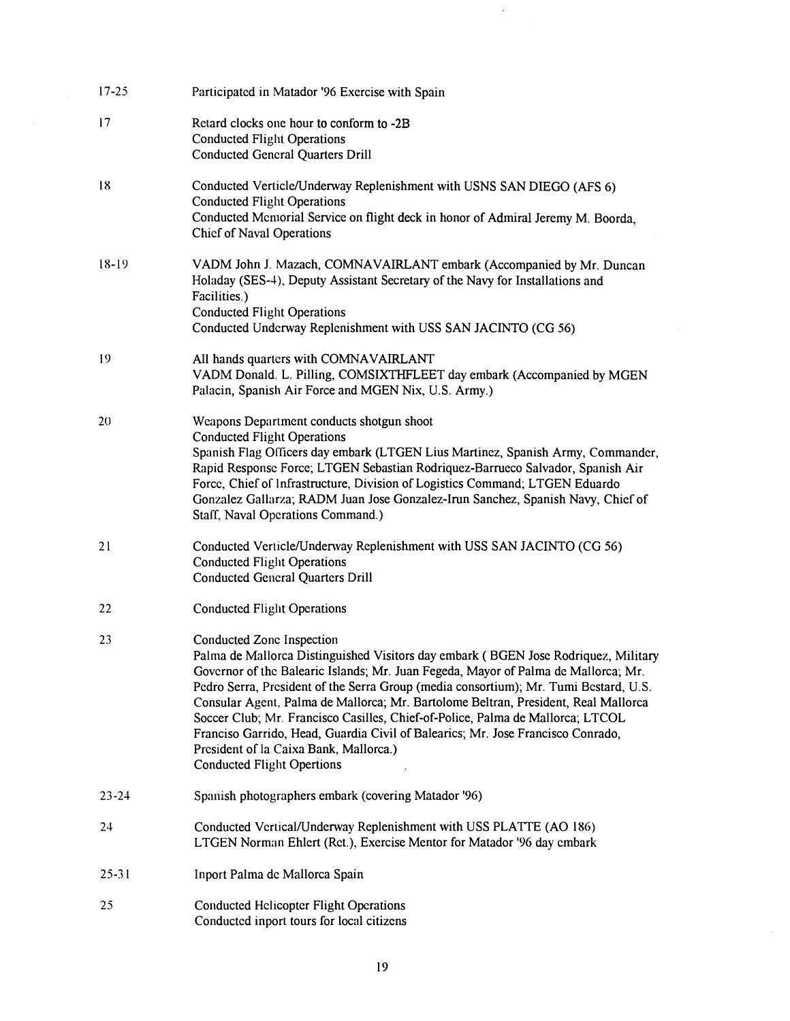| $17 - 25$ | Participated in Matador '96 Exercise with Spain                                                                                                                                                                                                                                                                                                                                                                                                                                                                                                                                                                                         |
|-----------|-----------------------------------------------------------------------------------------------------------------------------------------------------------------------------------------------------------------------------------------------------------------------------------------------------------------------------------------------------------------------------------------------------------------------------------------------------------------------------------------------------------------------------------------------------------------------------------------------------------------------------------------|
| 17        | Retard clocks one hour to conform to -2B<br><b>Conducted Flight Operations</b><br><b>Conducted General Quarters Drill</b>                                                                                                                                                                                                                                                                                                                                                                                                                                                                                                               |
| 18        | Conducted Verticle/Underway Replenishment with USNS SAN DIEGO (AFS 6)<br><b>Conducted Flight Operations</b><br>Conducted Memorial Service on flight deck in honor of Admiral Jeremy M. Boorda.<br><b>Chief of Naval Operations</b>                                                                                                                                                                                                                                                                                                                                                                                                      |
| $18-19$   | VADM John J. Mazach, COMNAVAIRLANT embark (Accompanied by Mr. Duncan<br>Holaday (SES-4), Deputy Assistant Secretary of the Navy for Installations and<br>Facilities.)<br><b>Conducted Flight Operations</b><br>Conducted Underway Replenishment with USS SAN JACINTO (CG 56)                                                                                                                                                                                                                                                                                                                                                            |
| 19        | All hands quarters with COMNAVAIRLANT<br>VADM Donald. L. Pilling, COMSIXTHFLEET day embark (Accompanied by MGEN<br>Palacin, Spanish Air Force and MGEN Nix, U.S. Army.)                                                                                                                                                                                                                                                                                                                                                                                                                                                                 |
| 20        | Weapons Department conducts shotgun shoot<br><b>Conducted Flight Operations</b><br>Spanish Flag Officers day embark (LTGEN Lius Martinez, Spanish Army, Commander,<br>Rapid Response Force; LTGEN Sebastian Rodriquez-Barrueco Salvador, Spanish Air<br>Force, Chief of Infrastructure, Division of Logistics Command; LTGEN Eduardo<br>Gonzalez Gallarza; RADM Juan Jose Gonzalez-Irun Sanchez, Spanish Navy, Chief of<br>Staff, Naval Operations Command.)                                                                                                                                                                            |
| 21        | Conducted Verticle/Underway Replenishment with USS SAN JACINTO (CG 56)<br><b>Conducted Flight Operations</b><br><b>Conducted General Quarters Drill</b>                                                                                                                                                                                                                                                                                                                                                                                                                                                                                 |
| 22        | <b>Conducted Flight Operations</b>                                                                                                                                                                                                                                                                                                                                                                                                                                                                                                                                                                                                      |
| 23        | Conducted Zone Inspection<br>Palma de Mallorca Distinguished Visitors day embark (BGEN Jose Rodriquez, Military<br>Governor of the Balearic Islands; Mr. Juan Fegeda, Mayor of Palma de Mallorca; Mr.<br>Pedro Serra, President of the Serra Group (media consortium); Mr. Tumi Bestard, U.S.<br>Consular Agent, Palma de Mallorca; Mr. Bartolome Beltran, President, Real Mallorca<br>Soccer Club; Mr. Francisco Casilles, Chief-of-Police, Palma de Mallorca; LTCOL<br>Franciso Garrido, Head, Guardia Civil of Balearics; Mr. Jose Francisco Conrado,<br>President of la Caixa Bank, Mallorca.)<br><b>Conducted Flight Opertions</b> |
| $23 - 24$ | Spanish photographers embark (covering Matador '96)                                                                                                                                                                                                                                                                                                                                                                                                                                                                                                                                                                                     |
| 24        | Conducted Vertical/Underway Replenishment with USS PLATTE (AO 186)<br>LTGEN Norman Ehlert (Ret.), Exercise Mentor for Matador '96 day embark                                                                                                                                                                                                                                                                                                                                                                                                                                                                                            |
| $25 - 31$ | Inport Palma de Mallorca Spain                                                                                                                                                                                                                                                                                                                                                                                                                                                                                                                                                                                                          |
| 25        | <b>Conducted Helicopter Flight Operations</b><br>Conducted inport tours for local citizens                                                                                                                                                                                                                                                                                                                                                                                                                                                                                                                                              |

 $\mathcal{A}$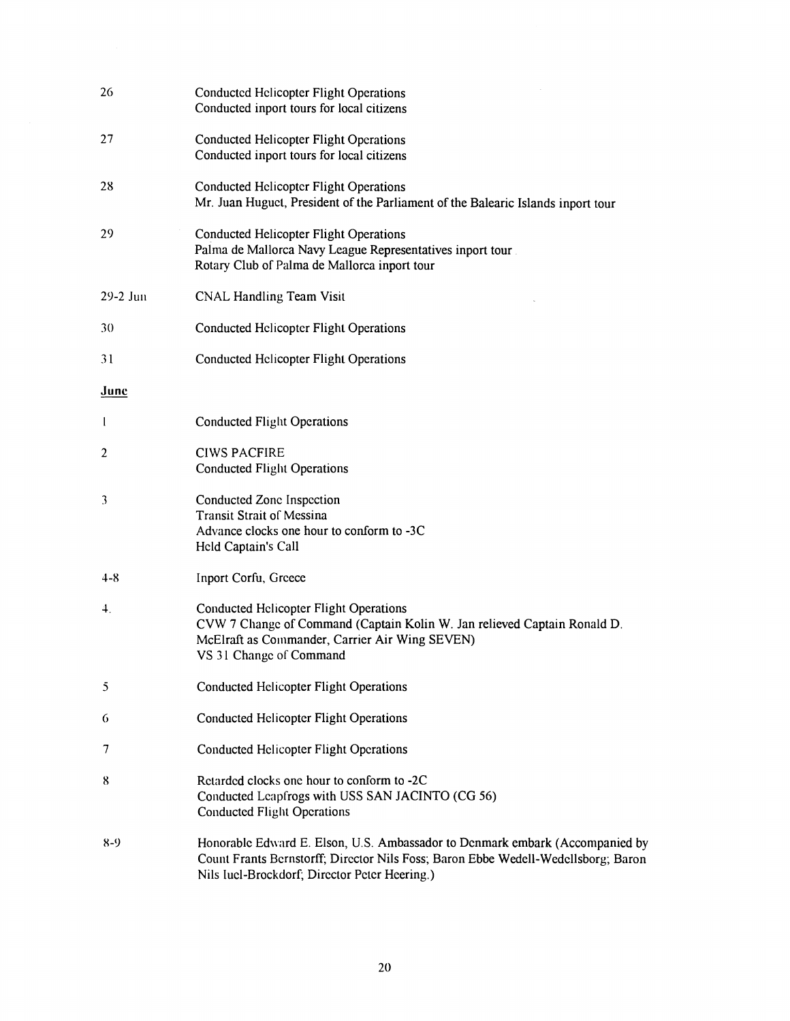| 26               | <b>Conducted Helicopter Flight Operations</b><br>Conducted inport tours for local citizens                                                                                                                         |
|------------------|--------------------------------------------------------------------------------------------------------------------------------------------------------------------------------------------------------------------|
| 27               | <b>Conducted Helicopter Flight Operations</b><br>Conducted inport tours for local citizens                                                                                                                         |
| 28               | <b>Conducted Helicopter Flight Operations</b><br>Mr. Juan Huguet, President of the Parliament of the Balearic Islands inport tour                                                                                  |
| 29               | <b>Conducted Helicopter Flight Operations</b><br>Palma de Mallorca Navy League Representatives inport tour.<br>Rotary Club of Palma de Mallorca inport tour                                                        |
| $29-2$ Jun       | <b>CNAL Handling Team Visit</b>                                                                                                                                                                                    |
| 30               | <b>Conducted Helicopter Flight Operations</b>                                                                                                                                                                      |
| 31               | <b>Conducted Helicopter Flight Operations</b>                                                                                                                                                                      |
| June             |                                                                                                                                                                                                                    |
| $\mathbf{l}$     | <b>Conducted Flight Operations</b>                                                                                                                                                                                 |
| $\overline{c}$   | <b>CIWS PACFIRE</b><br><b>Conducted Flight Operations</b>                                                                                                                                                          |
| 3                | Conducted Zone Inspection<br><b>Transit Strait of Messina</b><br>Advance clocks one hour to conform to -3C<br>Held Captain's Call                                                                                  |
| $4 - 8$          | Inport Corfu, Greece                                                                                                                                                                                               |
| $\overline{4}$ . | <b>Conducted Helicopter Flight Operations</b><br>CVW 7 Change of Command (Captain Kolin W. Jan relieved Captain Ronald D.<br>McElraft as Commander, Carrier Air Wing SEVEN)<br>VS 31 Change of Command             |
| 5                | <b>Conducted Helicopter Flight Operations</b>                                                                                                                                                                      |
| 6                | <b>Conducted Helicopter Flight Operations</b>                                                                                                                                                                      |
| 7                | <b>Conducted Helicopter Flight Operations</b>                                                                                                                                                                      |
| 8                | Retarded clocks one hour to conform to -2C<br>Conducted Leapfrogs with USS SAN JACINTO (CG 56)<br><b>Conducted Flight Operations</b>                                                                               |
| 8-9              | Honorable Edward E. Elson, U.S. Ambassador to Denmark embark (Accompanied by<br>Count Frants Bernstorff; Director Nils Foss; Baron Ebbe Wedell-Wedellsborg; Baron<br>Nils Iucl-Brockdorf; Director Peter Heering.) |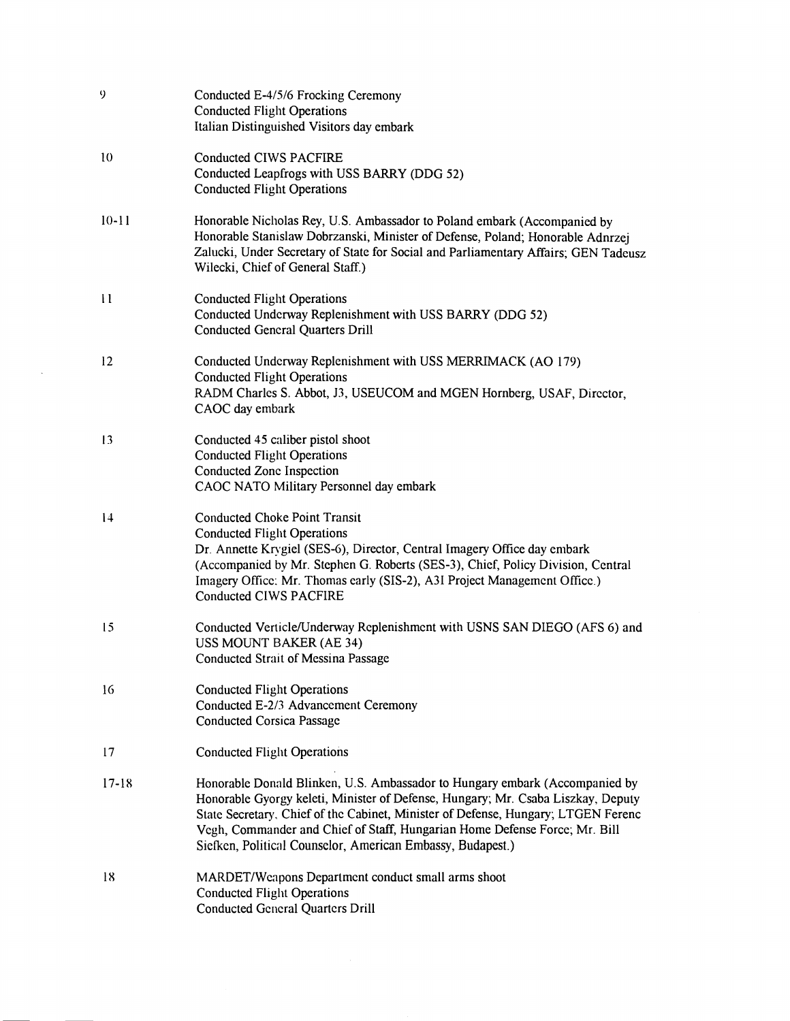| 9         | Conducted E-4/5/6 Frocking Ceremony<br><b>Conducted Flight Operations</b><br>Italian Distinguished Visitors day embark                                                                                                                                                                                                                                                                           |
|-----------|--------------------------------------------------------------------------------------------------------------------------------------------------------------------------------------------------------------------------------------------------------------------------------------------------------------------------------------------------------------------------------------------------|
| 10        | <b>Conducted CIWS PACFIRE</b><br>Conducted Leapfrogs with USS BARRY (DDG 52)<br><b>Conducted Flight Operations</b>                                                                                                                                                                                                                                                                               |
| $10 - 11$ | Honorable Nicholas Rey, U.S. Ambassador to Poland embark (Accompanied by<br>Honorable Stanislaw Dobrzanski, Minister of Defense, Poland; Honorable Adnrzej<br>Zalucki, Under Secretary of State for Social and Parliamentary Affairs; GEN Tadeusz<br>Wilecki, Chief of General Staff.)                                                                                                           |
| 11        | <b>Conducted Flight Operations</b><br>Conducted Underway Replenishment with USS BARRY (DDG 52)<br><b>Conducted General Quarters Drill</b>                                                                                                                                                                                                                                                        |
| 12        | Conducted Underway Replenishment with USS MERRIMACK (AO 179)<br><b>Conducted Flight Operations</b><br>RADM Charles S. Abbot, J3, USEUCOM and MGEN Hornberg, USAF, Director,<br>CAOC day embark                                                                                                                                                                                                   |
| 13        | Conducted 45 caliber pistol shoot<br><b>Conducted Flight Operations</b><br>Conducted Zone Inspection<br>CAOC NATO Military Personnel day embark                                                                                                                                                                                                                                                  |
| 4         | <b>Conducted Choke Point Transit</b><br><b>Conducted Flight Operations</b><br>Dr. Annette Krygiel (SES-6), Director, Central Imagery Office day embark<br>(Accompanied by Mr. Stephen G. Roberts (SES-3), Chief, Policy Division, Central<br>Imagery Office: Mr. Thomas early (SIS-2), A3I Project Management Office.)<br><b>Conducted CIWS PACFIRE</b>                                          |
| 15        | Conducted Verticle/Underway Replenishment with USNS SAN DIEGO (AFS 6) and<br>USS MOUNT BAKER (AE 34)<br>Conducted Strait of Messina Passage                                                                                                                                                                                                                                                      |
| 16        | <b>Conducted Flight Operations</b><br>Conducted E-2/3 Advancement Ceremony<br><b>Conducted Corsica Passage</b>                                                                                                                                                                                                                                                                                   |
| 17        | <b>Conducted Flight Operations</b>                                                                                                                                                                                                                                                                                                                                                               |
| $17 - 18$ | Honorable Donald Blinken, U.S. Ambassador to Hungary embark (Accompanied by<br>Honorable Gyorgy keleti, Minister of Defense, Hungary; Mr. Csaba Liszkay, Deputy<br>State Secretary, Chief of the Cabinet, Minister of Defense, Hungary; LTGEN Ferenc<br>Vegh, Commander and Chief of Staff, Hungarian Home Defense Force; Mr. Bill<br>Siefken, Political Counselor, American Embassy, Budapest.) |
| 18        | MARDET/Weapons Department conduct small arms shoot<br><b>Conducted Flight Operations</b><br><b>Conducted General Quarters Drill</b>                                                                                                                                                                                                                                                              |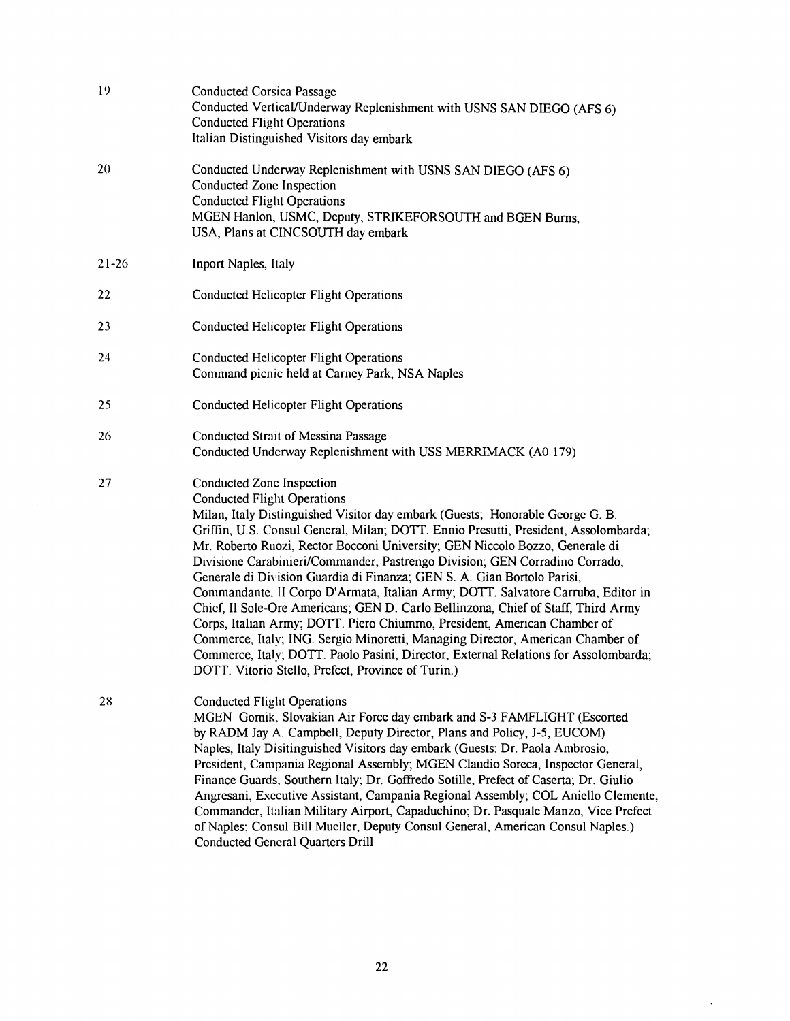| 19        | <b>Conducted Corsica Passage</b><br>Conducted Vertical/Underway Replenishment with USNS SAN DIEGO (AFS 6)<br><b>Conducted Flight Operations</b><br>Italian Distinguished Visitors day embark                                                                                                                                                                                                                                                                                                                                                                                                                                                                                                                                                                                                                                                                                                                                                                          |
|-----------|-----------------------------------------------------------------------------------------------------------------------------------------------------------------------------------------------------------------------------------------------------------------------------------------------------------------------------------------------------------------------------------------------------------------------------------------------------------------------------------------------------------------------------------------------------------------------------------------------------------------------------------------------------------------------------------------------------------------------------------------------------------------------------------------------------------------------------------------------------------------------------------------------------------------------------------------------------------------------|
| 20        | Conducted Underway Replenishment with USNS SAN DIEGO (AFS 6)<br>Conducted Zone Inspection<br><b>Conducted Flight Operations</b><br>MGEN Hanlon, USMC, Deputy, STRIKEFORSOUTH and BGEN Burns,<br>USA, Plans at CINCSOUTH day embark                                                                                                                                                                                                                                                                                                                                                                                                                                                                                                                                                                                                                                                                                                                                    |
| $21 - 26$ | Inport Naples, Italy                                                                                                                                                                                                                                                                                                                                                                                                                                                                                                                                                                                                                                                                                                                                                                                                                                                                                                                                                  |
| 22        | <b>Conducted Helicopter Flight Operations</b>                                                                                                                                                                                                                                                                                                                                                                                                                                                                                                                                                                                                                                                                                                                                                                                                                                                                                                                         |
| 23        | <b>Conducted Helicopter Flight Operations</b>                                                                                                                                                                                                                                                                                                                                                                                                                                                                                                                                                                                                                                                                                                                                                                                                                                                                                                                         |
| 24        | <b>Conducted Helicopter Flight Operations</b><br>Command picnic held at Carney Park, NSA Naples                                                                                                                                                                                                                                                                                                                                                                                                                                                                                                                                                                                                                                                                                                                                                                                                                                                                       |
| 25        | <b>Conducted Helicopter Flight Operations</b>                                                                                                                                                                                                                                                                                                                                                                                                                                                                                                                                                                                                                                                                                                                                                                                                                                                                                                                         |
| 26        | <b>Conducted Strait of Messina Passage</b><br>Conducted Underway Replenishment with USS MERRIMACK (A0 179)                                                                                                                                                                                                                                                                                                                                                                                                                                                                                                                                                                                                                                                                                                                                                                                                                                                            |
| 27        | Conducted Zone Inspection<br><b>Conducted Flight Operations</b><br>Milan, Italy Distinguished Visitor day embark (Guests; Honorable George G. B.<br>Griffin, U.S. Consul Gencral, Milan; DOTT. Ennio Presutti, President, Assolombarda;<br>Mr. Roberto Ruozi, Rector Bocconi University; GEN Niccolo Bozzo, Generale di<br>Divisione Carabinieri/Commander, Pastrengo Division; GEN Corradino Corrado,<br>Generale di Division Guardia di Finanza; GEN S. A. Gian Bortolo Parisi,<br>Commandante, II Corpo D'Armata, Italian Army; DOTT. Salvatore Carruba, Editor in<br>Chief, Il Sole-Ore Americans; GEN D. Carlo Bellinzona, Chief of Staff, Third Army<br>Corps, Italian Army; DOTT. Piero Chiummo, President, American Chamber of<br>Commerce, Italy; ING. Sergio Minoretti, Managing Director, American Chamber of<br>Commerce, Italy; DOTT. Paolo Pasini, Director, External Relations for Assolombarda;<br>DOTT. Vitorio Stello, Prefect, Province of Turin.) |
| 28        | <b>Conducted Flight Operations</b><br>MGEN Gomik, Slovakian Air Force day embark and S-3 FAMFLIGHT (Escorted<br>by RADM Jay A. Campbell, Deputy Director, Plans and Policy, J-5, EUCOM)<br>Naples, Italy Disitinguished Visitors day embark (Guests: Dr. Paola Ambrosio,<br>President, Campania Regional Assembly; MGEN Claudio Soreca, Inspector General,<br>Finance Guards, Southern Italy; Dr. Goffredo Sotille, Prefect of Caserta; Dr. Giulio<br>Angresani, Executive Assistant, Campania Regional Assembly; COL Aniello Clemente,<br>Commander, Italian Military Airport, Capaduchino; Dr. Pasquale Manzo, Vice Prefect<br>of Naples; Consul Bill Muclicr, Deputy Consul General, American Consul Naples.)<br><b>Conducted General Quarters Drill</b>                                                                                                                                                                                                           |

 $\hat{\mathcal{A}}$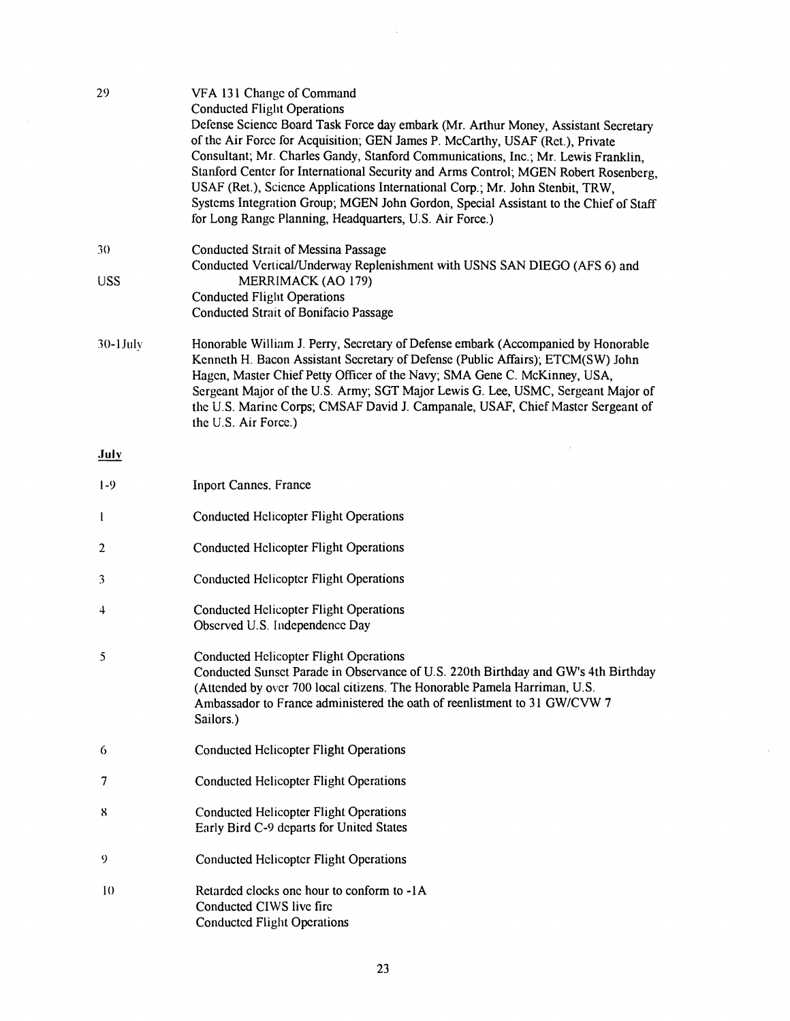| 29               | VFA 131 Change of Command<br><b>Conducted Flight Operations</b><br>Defense Science Board Task Force day embark (Mr. Arthur Money, Assistant Secretary<br>of the Air Force for Acquisition; GEN James P. McCarthy, USAF (Ret.), Private<br>Consultant; Mr. Charles Gandy, Stanford Communications, Inc.; Mr. Lewis Franklin,<br>Stanford Center for International Security and Arms Control; MGEN Robert Rosenberg,<br>USAF (Ret.), Science Applications International Corp.; Mr. John Stenbit, TRW,<br>Systems Integration Group; MGEN John Gordon, Special Assistant to the Chief of Staff<br>for Long Range Planning, Headquarters, U.S. Air Force.) |
|------------------|--------------------------------------------------------------------------------------------------------------------------------------------------------------------------------------------------------------------------------------------------------------------------------------------------------------------------------------------------------------------------------------------------------------------------------------------------------------------------------------------------------------------------------------------------------------------------------------------------------------------------------------------------------|
| 30<br><b>USS</b> | <b>Conducted Strait of Messina Passage</b><br>Conducted Vertical/Underway Replenishment with USNS SAN DIEGO (AFS 6) and<br>MERRIMACK (AO 179)<br><b>Conducted Flight Operations</b><br><b>Conducted Strait of Bonifacio Passage</b>                                                                                                                                                                                                                                                                                                                                                                                                                    |
| $30-1$ July      | Honorable William J. Perry, Secretary of Defense embark (Accompanied by Honorable<br>Kenneth H. Bacon Assistant Secretary of Defense (Public Affairs); ETCM(SW) John<br>Hagen, Master Chief Petty Officer of the Navy; SMA Gene C. McKinney, USA,<br>Sergeant Major of the U.S. Army; SGT Major Lewis G. Lee, USMC, Sergeant Major of<br>the U.S. Marine Corps; CMSAF David J. Campanale, USAF, Chief Master Sergeant of<br>the U.S. Air Force.)                                                                                                                                                                                                       |
| July             |                                                                                                                                                                                                                                                                                                                                                                                                                                                                                                                                                                                                                                                        |
| $1-9$            | <b>Inport Cannes, France</b>                                                                                                                                                                                                                                                                                                                                                                                                                                                                                                                                                                                                                           |
| 1                | <b>Conducted Helicopter Flight Operations</b>                                                                                                                                                                                                                                                                                                                                                                                                                                                                                                                                                                                                          |
| $\overline{2}$   | <b>Conducted Helicopter Flight Operations</b>                                                                                                                                                                                                                                                                                                                                                                                                                                                                                                                                                                                                          |
| 3                | <b>Conducted Helicopter Flight Operations</b>                                                                                                                                                                                                                                                                                                                                                                                                                                                                                                                                                                                                          |
| 4                | <b>Conducted Helicopter Flight Operations</b><br>Observed U.S. Independence Day                                                                                                                                                                                                                                                                                                                                                                                                                                                                                                                                                                        |
| 5                | <b>Conducted Helicopter Flight Operations</b><br>Conducted Sunset Parade in Observance of U.S. 220th Birthday and GW's 4th Birthday<br>(Attended by over 700 local citizens. The Honorable Pamela Harriman, U.S.<br>Ambassador to France administered the oath of reenlistment to 31 GW/CVW 7<br>Sailors.)                                                                                                                                                                                                                                                                                                                                             |
| 6                | <b>Conducted Helicopter Flight Operations</b>                                                                                                                                                                                                                                                                                                                                                                                                                                                                                                                                                                                                          |
| 7                | <b>Conducted Helicopter Flight Operations</b>                                                                                                                                                                                                                                                                                                                                                                                                                                                                                                                                                                                                          |
| 8                | <b>Conducted Helicopter Flight Operations</b><br>Early Bird C-9 departs for United States                                                                                                                                                                                                                                                                                                                                                                                                                                                                                                                                                              |
| 9                | <b>Conducted Helicopter Flight Operations</b>                                                                                                                                                                                                                                                                                                                                                                                                                                                                                                                                                                                                          |
| 10               | Retarded clocks one hour to conform to -1A<br>Conducted CIWS live fire<br><b>Conducted Flight Operations</b>                                                                                                                                                                                                                                                                                                                                                                                                                                                                                                                                           |

 $\bar{z}$ 

 $\sim$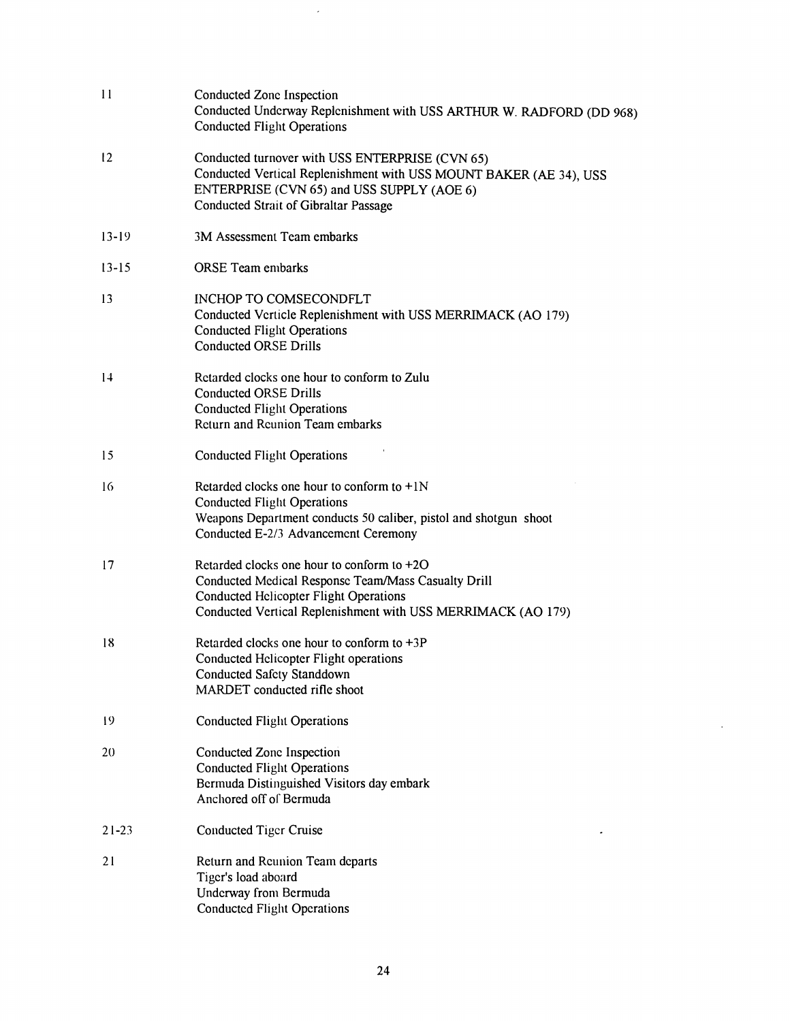| 11        | Conducted Zone Inspection<br>Conducted Underway Replenishment with USS ARTHUR W. RADFORD (DD 968)<br><b>Conducted Flight Operations</b>                                                                             |
|-----------|---------------------------------------------------------------------------------------------------------------------------------------------------------------------------------------------------------------------|
| 12        | Conducted turnover with USS ENTERPRISE (CVN 65)<br>Conducted Vertical Replenishment with USS MOUNT BAKER (AE 34), USS<br>ENTERPRISE (CVN 65) and USS SUPPLY (AOE 6)<br><b>Conducted Strait of Gibraltar Passage</b> |
| $13 - 19$ | 3M Assessment Team embarks                                                                                                                                                                                          |
| $13 - 15$ | <b>ORSE</b> Team embarks                                                                                                                                                                                            |
| 13        | INCHOP TO COMSECONDFLT<br>Conducted Verticle Replenishment with USS MERRIMACK (AO 179)<br><b>Conducted Flight Operations</b><br><b>Conducted ORSE Drills</b>                                                        |
| 14        | Retarded clocks one hour to conform to Zulu<br><b>Conducted ORSE Drills</b><br><b>Conducted Flight Operations</b><br><b>Return and Reunion Team embarks</b>                                                         |
| 15        | <b>Conducted Flight Operations</b>                                                                                                                                                                                  |
| 16        | Retarded clocks one hour to conform to $+1N$<br><b>Conducted Flight Operations</b><br>Weapons Department conducts 50 caliber, pistol and shotgun shoot<br>Conducted E-2/3 Advancement Ceremony                      |
| 17        | Retarded clocks one hour to conform to +2O<br>Conducted Medical Response Team/Mass Casualty Drill<br><b>Conducted Helicopter Flight Operations</b><br>Conducted Vertical Replenishment with USS MERRIMACK (AO 179)  |
| 18        | Retarded clocks one hour to conform to $+3P$<br>Conducted Helicopter Flight operations<br><b>Conducted Safety Standdown</b><br>MARDET conducted rifle shoot                                                         |
| 19        | <b>Conducted Flight Operations</b>                                                                                                                                                                                  |
| 20        | Conducted Zone Inspection<br><b>Conducted Flight Operations</b><br>Bermuda Distinguished Visitors day embark<br>Anchored off of Bermuda                                                                             |
| $21 - 23$ | <b>Conducted Tiger Cruise</b>                                                                                                                                                                                       |
| 21        | Return and Reunion Team departs<br>Tiger's load aboard<br>Underway from Bermuda<br><b>Conducted Flight Operations</b>                                                                                               |

 $\mathcal{L}$ 

 $\sim 10^{-1}$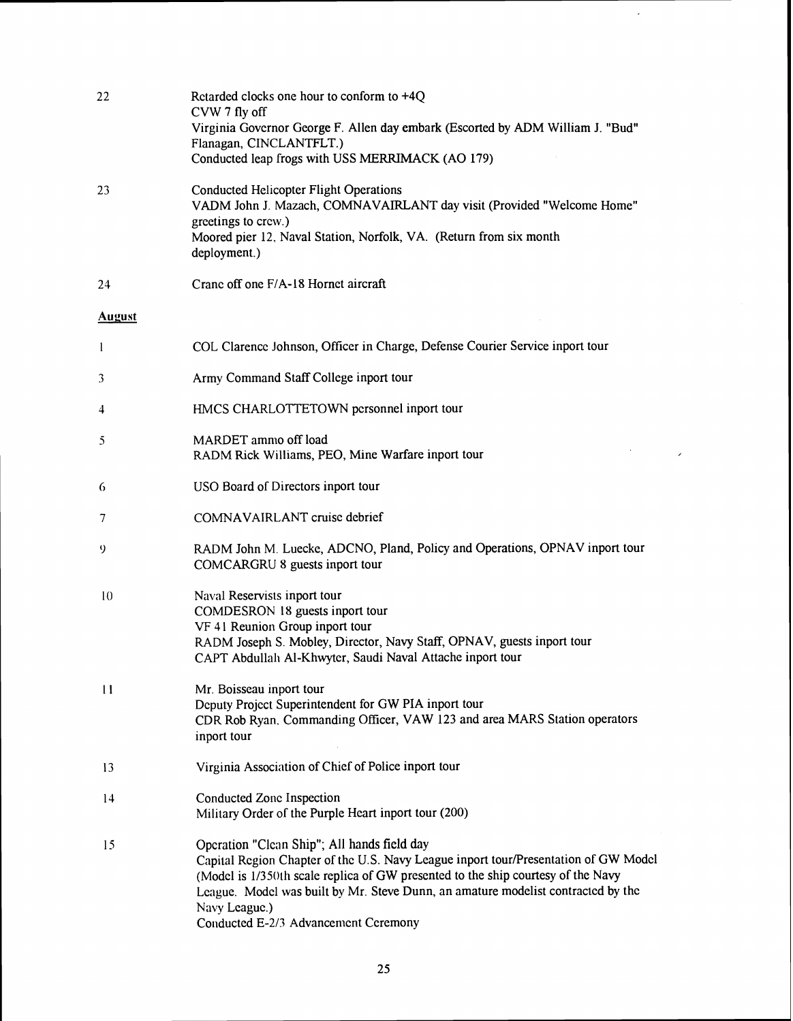| 22            | Retarded clocks one hour to conform to $+4Q$<br>CVW 7 fly off<br>Virginia Governor George F. Allen day embark (Escorted by ADM William J. "Bud"<br>Flanagan, CINCLANTFLT.)<br>Conducted leap frogs with USS MERRIMACK (AO 179)                                                                                                                                      |
|---------------|---------------------------------------------------------------------------------------------------------------------------------------------------------------------------------------------------------------------------------------------------------------------------------------------------------------------------------------------------------------------|
| 23            | <b>Conducted Helicopter Flight Operations</b><br>VADM John J. Mazach, COMNAVAIRLANT day visit (Provided "Welcome Home"<br>greetings to crew.)<br>Moored pier 12, Naval Station, Norfolk, VA. (Return from six month<br>deployment.)                                                                                                                                 |
| 24            | Crane off one F/A-18 Hornet aircraft                                                                                                                                                                                                                                                                                                                                |
| <b>August</b> |                                                                                                                                                                                                                                                                                                                                                                     |
| 1             | COL Clarence Johnson, Officer in Charge, Defense Courier Service inport tour                                                                                                                                                                                                                                                                                        |
| 3             | Army Command Staff College inport tour                                                                                                                                                                                                                                                                                                                              |
| 4             | HMCS CHARLOTTETOWN personnel inport tour                                                                                                                                                                                                                                                                                                                            |
| 5             | MARDET ammo off load<br>RADM Rick Williams, PEO, Mine Warfare inport tour                                                                                                                                                                                                                                                                                           |
| 6             | USO Board of Directors inport tour                                                                                                                                                                                                                                                                                                                                  |
| 7             | COMNAVAIRLANT cruise debrief                                                                                                                                                                                                                                                                                                                                        |
| 9             | RADM John M. Luecke, ADCNO, Pland, Policy and Operations, OPNAV inport tour<br>COMCARGRU 8 guests inport tour                                                                                                                                                                                                                                                       |
| 10            | Naval Reservists inport tour<br>COMDESRON 18 guests inport tour<br>VF 41 Reunion Group inport tour<br>RADM Joseph S. Mobley, Director, Navy Staff, OPNAV, guests inport tour<br>CAPT Abdullah Al-Khwyter, Saudi Naval Attache inport tour                                                                                                                           |
| $\mathbf{11}$ | Mr. Boisseau inport tour<br>Deputy Project Superintendent for GW PIA inport tour<br>CDR Rob Ryan. Commanding Officer, VAW 123 and area MARS Station operators<br>inport tour                                                                                                                                                                                        |
| 13            | Virginia Association of Chief of Police inport tour                                                                                                                                                                                                                                                                                                                 |
| 14            | Conducted Zone Inspection<br>Military Order of the Purple Heart inport tour (200)                                                                                                                                                                                                                                                                                   |
| 15            | Operation "Clean Ship"; All hands field day<br>Capital Region Chapter of the U.S. Navy League inport tour/Presentation of GW Model<br>(Model is 1/350th scale replica of GW presented to the ship courtesy of the Navy<br>League. Model was built by Mr. Steve Dunn, an amature modelist contracted by the<br>Navy League.)<br>Conducted E-2/3 Advancement Ceremony |

 $\hat{\boldsymbol{\epsilon}}$ 

 $\overline{\phantom{a}}$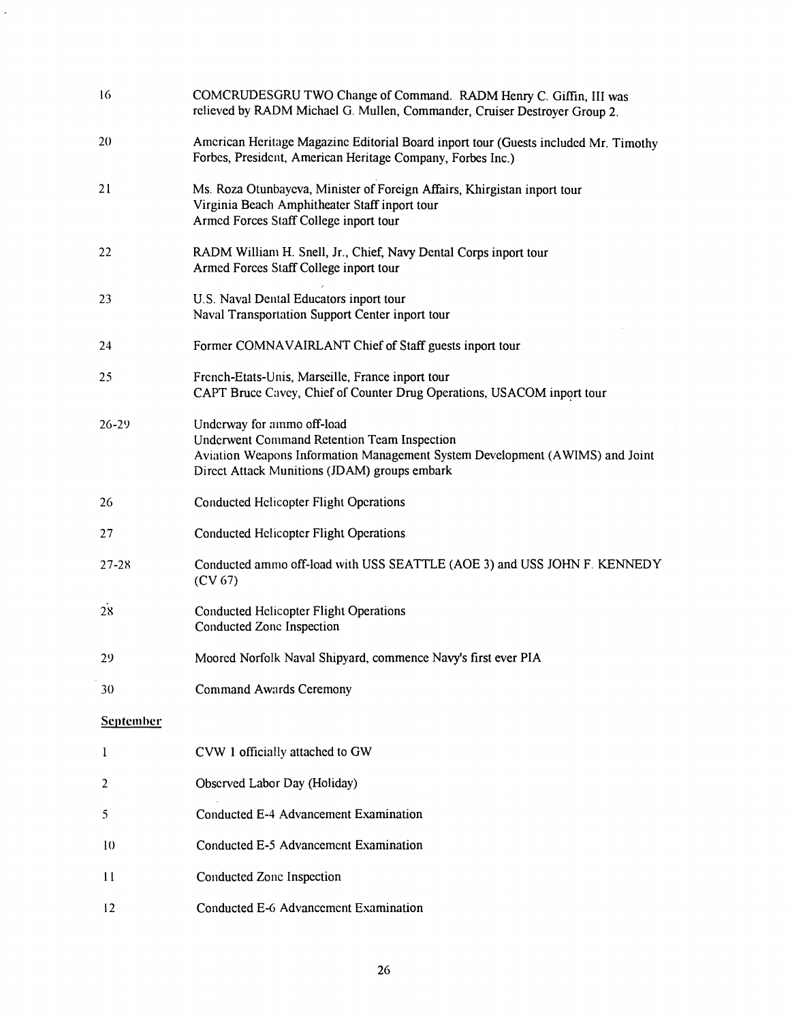| 16               | COMCRUDESGRU TWO Change of Command. RADM Henry C. Giffin, III was<br>relieved by RADM Michael G. Mullen, Commander, Cruiser Destroyer Group 2.                                                                   |
|------------------|------------------------------------------------------------------------------------------------------------------------------------------------------------------------------------------------------------------|
| 20               | American Heritage Magazine Editorial Board inport tour (Guests included Mr. Timothy<br>Forbes, President, American Heritage Company, Forbes Inc.)                                                                |
| 21               | Ms. Roza Otunbayeva, Minister of Foreign Affairs, Khirgistan inport tour<br>Virginia Beach Amphitheater Staff inport tour<br>Armed Forces Staff College inport tour                                              |
| 22               | RADM William H. Snell, Jr., Chief, Navy Dental Corps inport tour<br>Armed Forces Staff College inport tour                                                                                                       |
| 23               | U.S. Naval Dental Educators inport tour<br>Naval Transportation Support Center inport tour                                                                                                                       |
| 24               | Former COMNAVAIRLANT Chief of Staff guests inport tour                                                                                                                                                           |
| 25               | French-Etats-Unis, Marseille, France inport tour<br>CAPT Bruce Cavey, Chief of Counter Drug Operations, USACOM inport tour                                                                                       |
| $26 - 29$        | Underway for ammo off-load<br><b>Underwent Command Retention Team Inspection</b><br>Aviation Weapons Information Management System Development (AWIMS) and Joint<br>Direct Attack Munitions (JDAM) groups embark |
| 26               | <b>Conducted Helicopter Flight Operations</b>                                                                                                                                                                    |
| 27               | <b>Conducted Helicopter Flight Operations</b>                                                                                                                                                                    |
| $27 - 28$        | Conducted ammo off-load with USS SEATTLE (AOE 3) and USS JOHN F. KENNEDY<br>(CV 67)                                                                                                                              |
| 28               | <b>Conducted Helicopter Flight Operations</b><br>Conducted Zone Inspection                                                                                                                                       |
| 29               | Moored Norfolk Naval Shipyard, commence Navy's first ever PIA                                                                                                                                                    |
| 30               | <b>Command Awards Ceremony</b>                                                                                                                                                                                   |
| <b>September</b> |                                                                                                                                                                                                                  |
| 1                | CVW 1 officially attached to GW                                                                                                                                                                                  |
| 2                | Observed Labor Day (Holiday)                                                                                                                                                                                     |
| 5                | Conducted E-4 Advancement Examination                                                                                                                                                                            |
| 10               | Conducted E-5 Advancement Examination                                                                                                                                                                            |
| $\mathbf{11}$    | Conducted Zone Inspection                                                                                                                                                                                        |
| 12               | Conducted E-6 Advancement Examination                                                                                                                                                                            |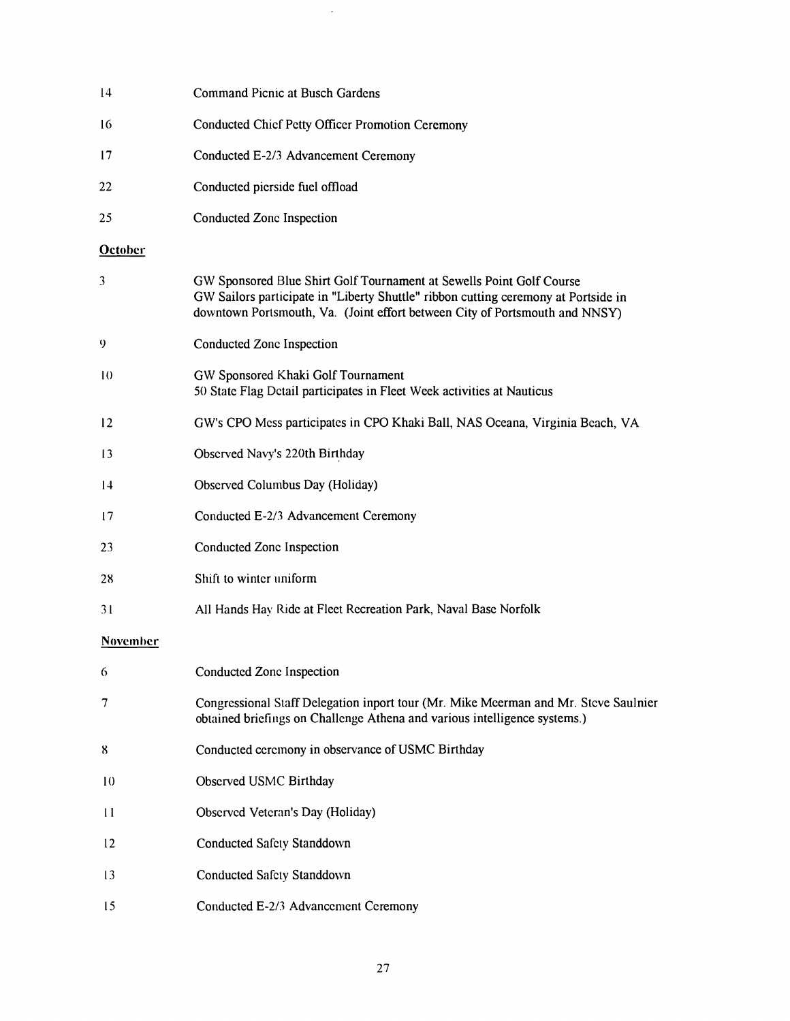| $\overline{14}$ | <b>Command Picnic at Busch Gardens</b>                                                                                                                                                                                                    |
|-----------------|-------------------------------------------------------------------------------------------------------------------------------------------------------------------------------------------------------------------------------------------|
| 16              | <b>Conducted Chief Petty Officer Promotion Ceremony</b>                                                                                                                                                                                   |
| 17              | Conducted E-2/3 Advancement Ceremony                                                                                                                                                                                                      |
| 22              | Conducted pierside fuel offload                                                                                                                                                                                                           |
| 25              | Conducted Zone Inspection                                                                                                                                                                                                                 |
| <b>October</b>  |                                                                                                                                                                                                                                           |
| 3               | GW Sponsored Blue Shirt Golf Tournament at Sewells Point Golf Course<br>GW Sailors participate in "Liberty Shuttle" ribbon cutting ceremony at Portside in<br>downtown Portsmouth, Va. (Joint effort between City of Portsmouth and NNSY) |
| 9               | Conducted Zone Inspection                                                                                                                                                                                                                 |
| 10              | GW Sponsored Khaki Golf Tournament<br>50 State Flag Detail participates in Fleet Week activities at Nauticus                                                                                                                              |
| 12              | GW's CPO Mess participates in CPO Khaki Ball, NAS Oceana, Virginia Beach, VA                                                                                                                                                              |
| 13              | Observed Navy's 220th Birthday                                                                                                                                                                                                            |
| 14              | Observed Columbus Day (Holiday)                                                                                                                                                                                                           |
| 17              | Conducted E-2/3 Advancement Ceremony                                                                                                                                                                                                      |
| 23              | Conducted Zone Inspection                                                                                                                                                                                                                 |
| 28              | Shift to winter uniform                                                                                                                                                                                                                   |
| 31              | All Hands Hay Ride at Fleet Recreation Park, Naval Base Norfolk                                                                                                                                                                           |
| <b>November</b> |                                                                                                                                                                                                                                           |
| 6               | Conducted Zone Inspection                                                                                                                                                                                                                 |
| 7               | Congressional Staff Delegation inport tour (Mr. Mike Meerman and Mr. Steve Saulnier<br>obtained briefings on Challenge Athena and various intelligence systems.)                                                                          |
| 8               | Conducted ceremony in observance of USMC Birthday                                                                                                                                                                                         |
| 10              | Observed USMC Birthday                                                                                                                                                                                                                    |
| $\mathbf{1}$    | Observed Veteran's Day (Holiday)                                                                                                                                                                                                          |
| 12              | Conducted Safety Standdown                                                                                                                                                                                                                |
| 13              | Conducted Safety Standdown                                                                                                                                                                                                                |
| 15              | Conducted E-2/3 Advancement Ceremony                                                                                                                                                                                                      |

 $\sim$